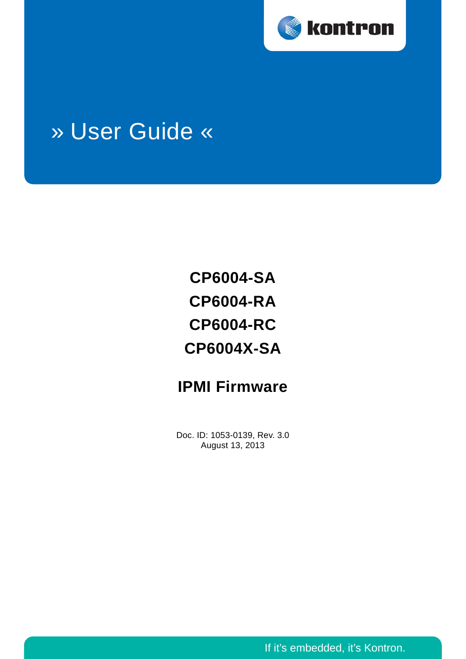

# » User Guide «

**CP6004-SA CP6004-RA CP6004-RC CP6004X-SA**

# **IPMI Firmware**

Doc. ID: 1053-0139, Rev. 3.0 August 13, 2013

If it's embedded, it's Kontron.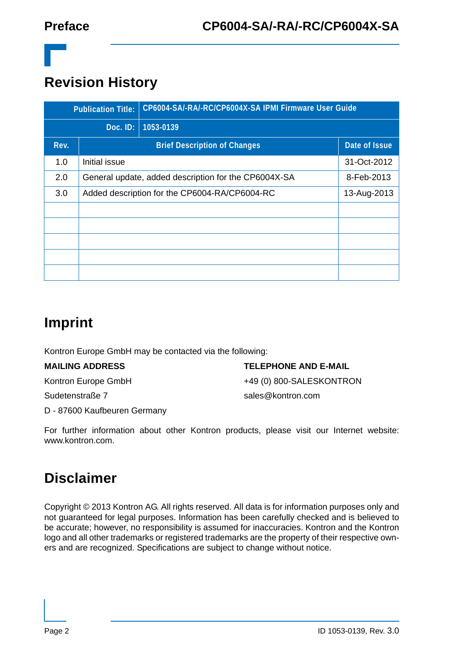# **Revision History**

| <b>Publication Title:</b> |                                                      | CP6004-SA/-RA/-RC/CP6004X-SA IPMI Firmware User Guide |               |
|---------------------------|------------------------------------------------------|-------------------------------------------------------|---------------|
| Doc. ID:                  |                                                      | 1053-0139                                             |               |
| Rev.                      | <b>Brief Description of Changes</b>                  |                                                       | Date of Issue |
| 1.0                       | Initial issue                                        |                                                       | 31-Oct-2012   |
| 2.0                       | General update, added description for the CP6004X-SA |                                                       | 8-Feb-2013    |
| 3.0                       | Added description for the CP6004-RA/CP6004-RC        |                                                       | 13-Aug-2013   |
|                           |                                                      |                                                       |               |
|                           |                                                      |                                                       |               |
|                           |                                                      |                                                       |               |
|                           |                                                      |                                                       |               |
|                           |                                                      |                                                       |               |

# **Imprint**

Kontron Europe GmbH may be contacted via the following:

#### **MAILING ADDRESS TELEPHONE AND E-MAIL**

Kontron Europe GmbH +49 (0) 800-SALESKONTRON

Sudetenstraße 7 sales@kontron.com

D - 87600 Kaufbeuren Germany

For further information about other Kontron products, please visit our Internet website: www.kontron.com.

# **Disclaimer**

Copyright © 2013 Kontron AG. All rights reserved. All data is for information purposes only and not guaranteed for legal purposes. Information has been carefully checked and is believed to be accurate; however, no responsibility is assumed for inaccuracies. Kontron and the Kontron logo and all other trademarks or registered trademarks are the property of their respective owners and are recognized. Specifications are subject to change without notice.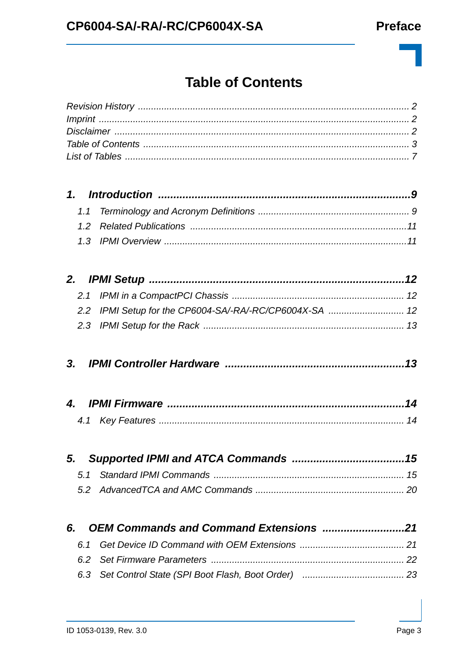# CP6004-SA/-RA/-RC/CP6004X-SA

# **Preface**

# **Table of Contents**

| 2.2 IPMI Setup for the CP6004-SA/-RA/-RC/CP6004X-SA  12 |  |
|---------------------------------------------------------|--|
|                                                         |  |
|                                                         |  |

| 4.  |                                        |  |
|-----|----------------------------------------|--|
|     |                                        |  |
| 5.  |                                        |  |
| 5.1 |                                        |  |
|     |                                        |  |
| 6.  | OEM Commands and Command Extensions 21 |  |
| 6.1 |                                        |  |
|     |                                        |  |
|     |                                        |  |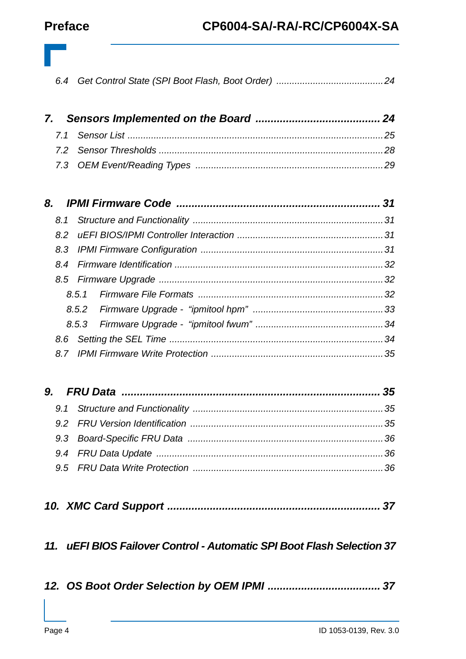# **Preface CP6004-SA/-RA/-RC/CP6004X-SA**

| 6.4 |       |  |
|-----|-------|--|
| 7.  |       |  |
| 7.1 |       |  |
| 7.2 |       |  |
| 7.3 |       |  |
| 8.  |       |  |
| 8.1 |       |  |
| 8.2 |       |  |
| 8.3 |       |  |
| 8.4 |       |  |
|     |       |  |
|     | 8.5.1 |  |
|     | 8.5.2 |  |
|     | 8.5.3 |  |
|     |       |  |
|     |       |  |

|  |  | 67 |
|--|--|----|
|--|--|----|

*11. uEFI BIOS Failover Control - Automatic SPI Boot Flash Selection 37*

*12. OS Boot Order Selection by OEM IPMI ..................................... 37*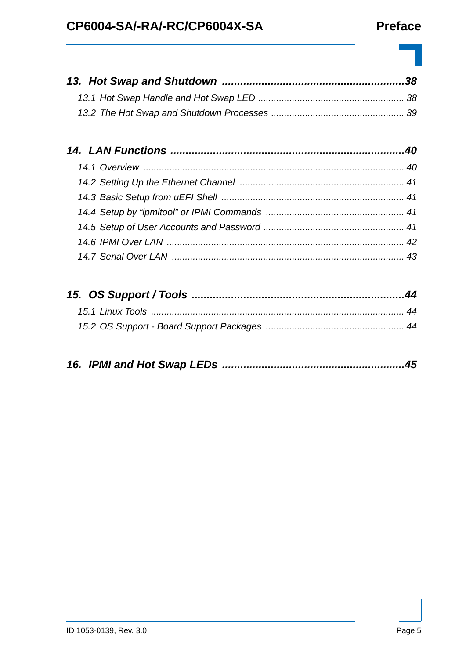# CP6004-SA/-RA/-RC/CP6004X-SA

# **Preface**

| . 15.1 Linux Tools ………………………………………………………………………………… 44 |  |
|-------------------------------------------------------|--|
|                                                       |  |

|--|--|--|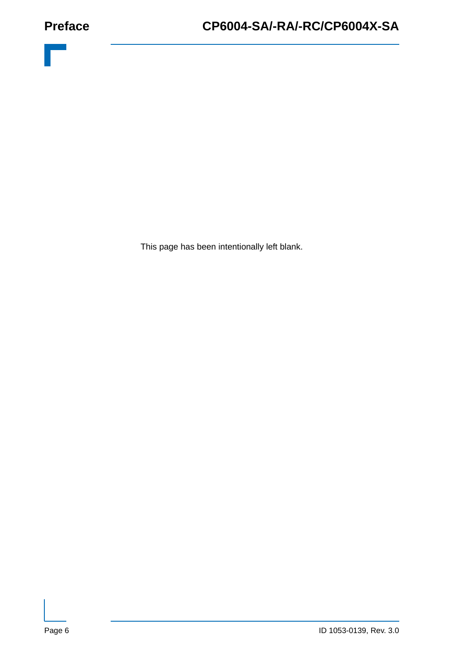

This page has been intentionally left blank.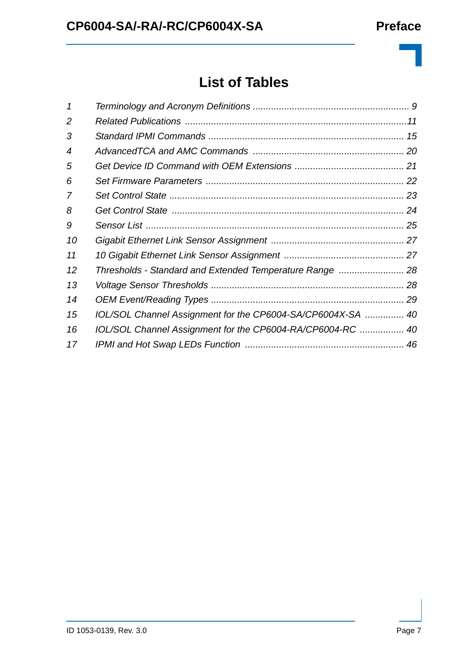# **List of Tables**

| 1  |                                                             |  |
|----|-------------------------------------------------------------|--|
| 2  |                                                             |  |
| 3  |                                                             |  |
| 4  |                                                             |  |
| 5  |                                                             |  |
| 6  |                                                             |  |
| 7  |                                                             |  |
| 8  |                                                             |  |
| 9  |                                                             |  |
| 10 |                                                             |  |
| 11 |                                                             |  |
| 12 | Thresholds - Standard and Extended Temperature Range  28    |  |
| 13 |                                                             |  |
| 14 |                                                             |  |
| 15 | IOL/SOL Channel Assignment for the CP6004-SA/CP6004X-SA  40 |  |
| 16 | IOL/SOL Channel Assignment for the CP6004-RA/CP6004-RC  40  |  |
| 17 |                                                             |  |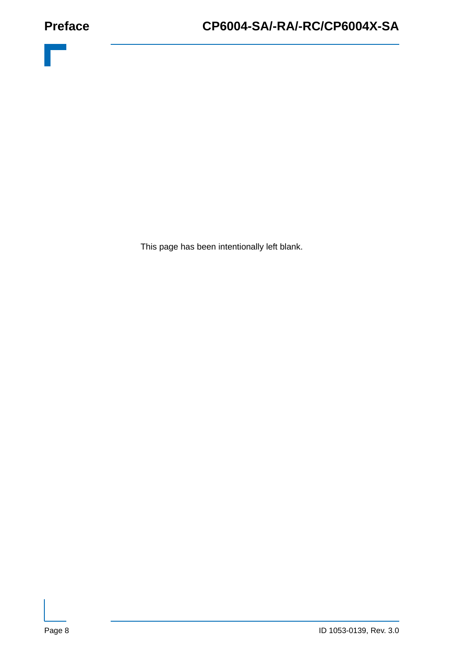

This page has been intentionally left blank.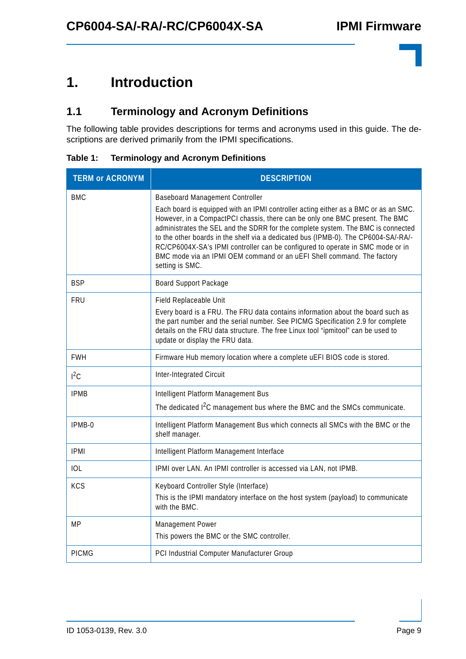

# **1. Introduction**

# **1.1 Terminology and Acronym Definitions**

The following table provides descriptions for terms and acronyms used in this guide. The descriptions are derived primarily from the IPMI specifications.

<span id="page-8-0"></span>

| Table 1:<br><b>Terminology and Acronym Definitions</b> |  |
|--------------------------------------------------------|--|
|--------------------------------------------------------|--|

| <b>TERM or ACRONYM</b> | <b>DESCRIPTION</b>                                                                                                                                                                                                                                                                                                                                                                                                                                                                                                                                              |
|------------------------|-----------------------------------------------------------------------------------------------------------------------------------------------------------------------------------------------------------------------------------------------------------------------------------------------------------------------------------------------------------------------------------------------------------------------------------------------------------------------------------------------------------------------------------------------------------------|
| <b>BMC</b>             | Baseboard Management Controller<br>Each board is equipped with an IPMI controller acting either as a BMC or as an SMC.<br>However, in a CompactPCI chassis, there can be only one BMC present. The BMC<br>administrates the SEL and the SDRR for the complete system. The BMC is connected<br>to the other boards in the shelf via a dedicated bus (IPMB-0). The CP6004-SA/-RA/-<br>RC/CP6004X-SA's IPMI controller can be configured to operate in SMC mode or in<br>BMC mode via an IPMI OEM command or an uEFI Shell command. The factory<br>setting is SMC. |
| <b>BSP</b>             | <b>Board Support Package</b>                                                                                                                                                                                                                                                                                                                                                                                                                                                                                                                                    |
| <b>FRU</b>             | Field Replaceable Unit<br>Every board is a FRU. The FRU data contains information about the board such as<br>the part number and the serial number. See PICMG Specification 2.9 for complete<br>details on the FRU data structure. The free Linux tool "ipmitool" can be used to<br>update or display the FRU data.                                                                                                                                                                                                                                             |
| <b>FWH</b>             | Firmware Hub memory location where a complete uEFI BIOS code is stored.                                                                                                                                                                                                                                                                                                                                                                                                                                                                                         |
| $I^2C$                 | Inter-Integrated Circuit                                                                                                                                                                                                                                                                                                                                                                                                                                                                                                                                        |
| <b>IPMB</b>            | Intelligent Platform Management Bus<br>The dedicated 1 <sup>2</sup> C management bus where the BMC and the SMCs communicate.                                                                                                                                                                                                                                                                                                                                                                                                                                    |
| IPMB-0                 | Intelligent Platform Management Bus which connects all SMCs with the BMC or the<br>shelf manager.                                                                                                                                                                                                                                                                                                                                                                                                                                                               |
| <b>IPMI</b>            | Intelligent Platform Management Interface                                                                                                                                                                                                                                                                                                                                                                                                                                                                                                                       |
| IOL                    | IPMI over LAN. An IPMI controller is accessed via LAN, not IPMB.                                                                                                                                                                                                                                                                                                                                                                                                                                                                                                |
| <b>KCS</b>             | Keyboard Controller Style (Interface)<br>This is the IPMI mandatory interface on the host system (payload) to communicate<br>with the BMC.                                                                                                                                                                                                                                                                                                                                                                                                                      |
| <b>MP</b>              | Management Power<br>This powers the BMC or the SMC controller.                                                                                                                                                                                                                                                                                                                                                                                                                                                                                                  |
| <b>PICMG</b>           | PCI Industrial Computer Manufacturer Group                                                                                                                                                                                                                                                                                                                                                                                                                                                                                                                      |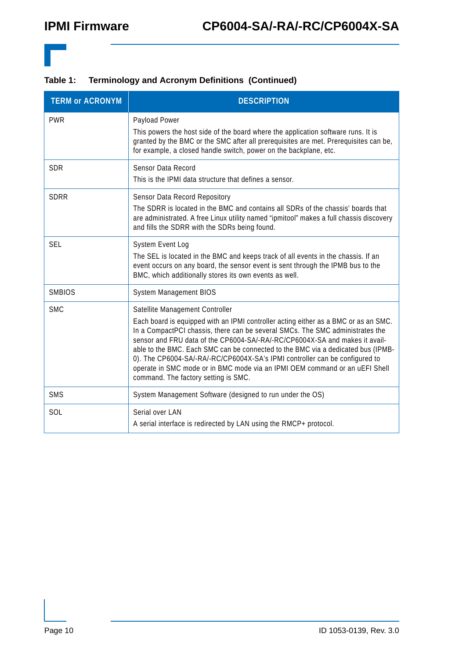### **Table 1: Terminology and Acronym Definitions (Continued)**

| <b>TERM or ACRONYM</b> | <b>DESCRIPTION</b>                                                                                                                                                                                                                                                                                                                                                                                                                                                                                                                                                               |
|------------------------|----------------------------------------------------------------------------------------------------------------------------------------------------------------------------------------------------------------------------------------------------------------------------------------------------------------------------------------------------------------------------------------------------------------------------------------------------------------------------------------------------------------------------------------------------------------------------------|
| <b>PWR</b>             | Payload Power<br>This powers the host side of the board where the application software runs. It is<br>granted by the BMC or the SMC after all prerequisites are met. Prerequisites can be,<br>for example, a closed handle switch, power on the backplane, etc.                                                                                                                                                                                                                                                                                                                  |
| <b>SDR</b>             | Sensor Data Record<br>This is the IPMI data structure that defines a sensor.                                                                                                                                                                                                                                                                                                                                                                                                                                                                                                     |
| <b>SDRR</b>            | Sensor Data Record Repository<br>The SDRR is located in the BMC and contains all SDRs of the chassis' boards that<br>are administrated. A free Linux utility named "ipmitool" makes a full chassis discovery<br>and fills the SDRR with the SDRs being found.                                                                                                                                                                                                                                                                                                                    |
| <b>SEL</b>             | System Event Log<br>The SEL is located in the BMC and keeps track of all events in the chassis. If an<br>event occurs on any board, the sensor event is sent through the IPMB bus to the<br>BMC, which additionally stores its own events as well.                                                                                                                                                                                                                                                                                                                               |
| <b>SMBIOS</b>          | <b>System Management BIOS</b>                                                                                                                                                                                                                                                                                                                                                                                                                                                                                                                                                    |
| <b>SMC</b>             | Satellite Management Controller<br>Each board is equipped with an IPMI controller acting either as a BMC or as an SMC.<br>In a CompactPCI chassis, there can be several SMCs. The SMC administrates the<br>sensor and FRU data of the CP6004-SA/-RA/-RC/CP6004X-SA and makes it avail-<br>able to the BMC. Each SMC can be connected to the BMC via a dedicated bus (IPMB-<br>0). The CP6004-SA/-RA/-RC/CP6004X-SA's IPMI controller can be configured to<br>operate in SMC mode or in BMC mode via an IPMI OEM command or an uEFI Shell<br>command. The factory setting is SMC. |
| <b>SMS</b>             | System Management Software (designed to run under the OS)                                                                                                                                                                                                                                                                                                                                                                                                                                                                                                                        |
| SOL                    | Serial over LAN<br>A serial interface is redirected by LAN using the RMCP+ protocol.                                                                                                                                                                                                                                                                                                                                                                                                                                                                                             |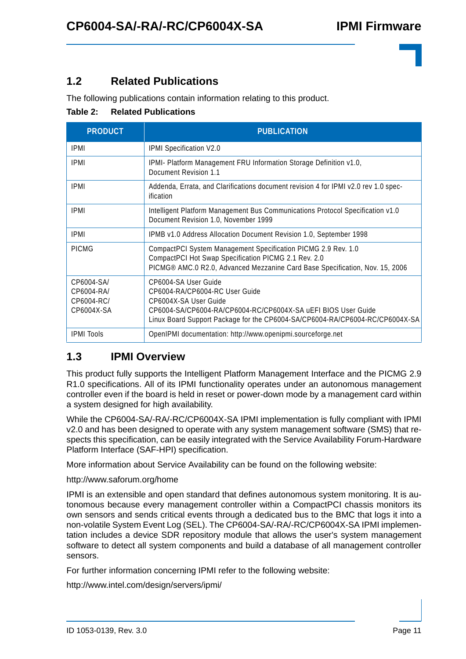

# **1.2 Related Publications**

The following publications contain information relating to this product.

#### <span id="page-10-0"></span>**Table 2: Related Publications**

| <b>PRODUCT</b>                                       | <b>PUBLICATION</b>                                                                                                                                                                                                               |
|------------------------------------------------------|----------------------------------------------------------------------------------------------------------------------------------------------------------------------------------------------------------------------------------|
| <b>IPMI</b>                                          | IPMI Specification V2.0                                                                                                                                                                                                          |
| <b>IPMI</b>                                          | IPMI- Platform Management FRU Information Storage Definition v1.0,<br>Document Revision 1.1                                                                                                                                      |
| <b>IPMI</b>                                          | Addenda, Errata, and Clarifications document revision 4 for IPMI v2.0 rev 1.0 spec-<br>ification                                                                                                                                 |
| <b>IPMI</b>                                          | Intelligent Platform Management Bus Communications Protocol Specification v1.0<br>Document Revision 1.0, November 1999                                                                                                           |
| <b>IPMI</b>                                          | IPMB v1.0 Address Allocation Document Revision 1.0, September 1998                                                                                                                                                               |
| <b>PICMG</b>                                         | CompactPCI System Management Specification PICMG 2.9 Rev. 1.0<br>CompactPCI Hot Swap Specification PICMG 2.1 Rev. 2.0<br>PICMG <sup>®</sup> AMC.0 R2.0, Advanced Mezzanine Card Base Specification, Nov. 15, 2006                |
| CP6004-SA/<br>CP6004-RA/<br>CP6004-RC/<br>CP6004X-SA | CP6004-SA User Guide<br>CP6004-RA/CP6004-RC User Guide<br>CP6004X-SA User Guide<br>CP6004-SA/CP6004-RA/CP6004-RC/CP6004X-SA uEFI BIOS User Guide<br>Linux Board Support Package for the CP6004-SA/CP6004-RA/CP6004-RC/CP6004X-SA |
| <b>IPMI Tools</b>                                    | OpenIPMI documentation: http://www.openipmi.sourceforge.net                                                                                                                                                                      |

## **1.3 IPMI Overview**

This product fully supports the Intelligent Platform Management Interface and the PICMG 2.9 R1.0 specifications. All of its IPMI functionality operates under an autonomous management controller even if the board is held in reset or power-down mode by a management card within a system designed for high availability.

While the CP6004-SA/-RA/-RC/CP6004X-SA IPMI implementation is fully compliant with IPMI v2.0 and has been designed to operate with any system management software (SMS) that respects this specification, can be easily integrated with the Service Availability Forum-Hardware Platform Interface (SAF-HPI) specification.

More information about Service Availability can be found on the following website:

http://www.saforum.org/home

IPMI is an extensible and open standard that defines autonomous system monitoring. It is autonomous because every management controller within a CompactPCI chassis monitors its own sensors and sends critical events through a dedicated bus to the BMC that logs it into a non-volatile System Event Log (SEL). The CP6004-SA/-RA/-RC/CP6004X-SA IPMI implementation includes a device SDR repository module that allows the user's system management software to detect all system components and build a database of all management controller sensors.

For further information concerning IPMI refer to the following website:

http://www.intel.com/design/servers/ipmi/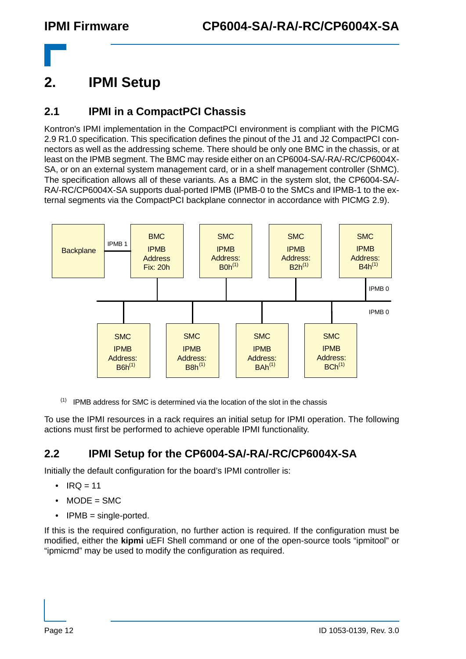**2. IPMI Setup**

# **2.1 IPMI in a CompactPCI Chassis**

Kontron's IPMI implementation in the CompactPCI environment is compliant with the PICMG 2.9 R1.0 specification. This specification defines the pinout of the J1 and J2 CompactPCI connectors as well as the addressing scheme. There should be only one BMC in the chassis, or at least on the IPMB segment. The BMC may reside either on an CP6004-SA/-RA/-RC/CP6004X-SA, or on an external system management card, or in a shelf management controller (ShMC). The specification allows all of these variants. As a BMC in the system slot, the CP6004-SA/- RA/-RC/CP6004X-SA supports dual-ported IPMB (IPMB-0 to the SMCs and IPMB-1 to the external segments via the CompactPCI backplane connector in accordance with PICMG 2.9).



IPMB address for SMC is determined via the location of the slot in the chassis (1)

To use the IPMI resources in a rack requires an initial setup for IPMI operation. The following actions must first be performed to achieve operable IPMI functionality.

# **2.2 IPMI Setup for the CP6004-SA/-RA/-RC/CP6004X-SA**

Initially the default configuration for the board's IPMI controller is:

- $\cdot$  IRQ = 11
- MODE = SMC
- IPMB = single-ported.

If this is the required configuration, no further action is required. If the configuration must be modified, either the **kipmi** uEFI Shell command or one of the open-source tools "ipmitool" or "ipmicmd" may be used to modify the configuration as required.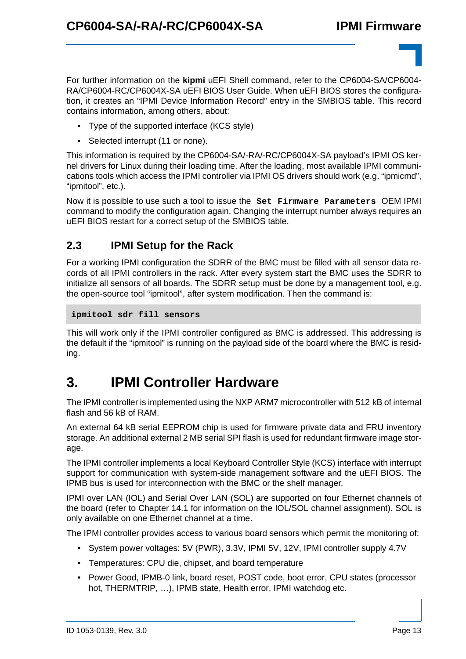For further information on the **kipmi** uEFI Shell command, refer to the CP6004-SA/CP6004- RA/CP6004-RC/CP6004X-SA uEFI BIOS User Guide. When uEFI BIOS stores the configuration, it creates an "IPMI Device Information Record" entry in the SMBIOS table. This record contains information, among others, about:

- Type of the supported interface (KCS style)
- Selected interrupt (11 or none).

This information is required by the CP6004-SA/-RA/-RC/CP6004X-SA payload's IPMI OS kernel drivers for Linux during their loading time. After the loading, most available IPMI communications tools which access the IPMI controller via IPMI OS drivers should work (e.g. "ipmicmd", "ipmitool", etc.).

Now it is possible to use such a tool to issue the **Set Firmware Parameters** OEM IPMI command to modify the configuration again. Changing the interrupt number always requires an uEFI BIOS restart for a correct setup of the SMBIOS table.

## **2.3 IPMI Setup for the Rack**

For a working IPMI configuration the SDRR of the BMC must be filled with all sensor data records of all IPMI controllers in the rack. After every system start the BMC uses the SDRR to initialize all sensors of all boards. The SDRR setup must be done by a management tool, e.g. the open-source tool "ipmitool", after system modification. Then the command is:

```
ipmitool sdr fill sensors
```
This will work only if the IPMI controller configured as BMC is addressed. This addressing is the default if the "ipmitool" is running on the payload side of the board where the BMC is residing.

# **3. IPMI Controller Hardware**

The IPMI controller is implemented using the NXP ARM7 microcontroller with 512 kB of internal flash and 56 kB of RAM.

An external 64 kB serial EEPROM chip is used for firmware private data and FRU inventory storage. An additional external 2 MB serial SPI flash is used for redundant firmware image storage.

The IPMI controller implements a local Keyboard Controller Style (KCS) interface with interrupt support for communication with system-side management software and the uEFI BIOS. The IPMB bus is used for interconnection with the BMC or the shelf manager.

IPMI over LAN (IOL) and Serial Over LAN (SOL) are supported on four Ethernet channels of the board (refer to Chapter 14.1 for information on the IOL/SOL channel assignment). SOL is only available on one Ethernet channel at a time.

The IPMI controller provides access to various board sensors which permit the monitoring of:

- System power voltages: 5V (PWR), 3.3V, IPMI 5V, 12V, IPMI controller supply 4.7V
- Temperatures: CPU die, chipset, and board temperature
- Power Good, IPMB-0 link, board reset, POST code, boot error, CPU states (processor hot, THERMTRIP, …), IPMB state, Health error, IPMI watchdog etc.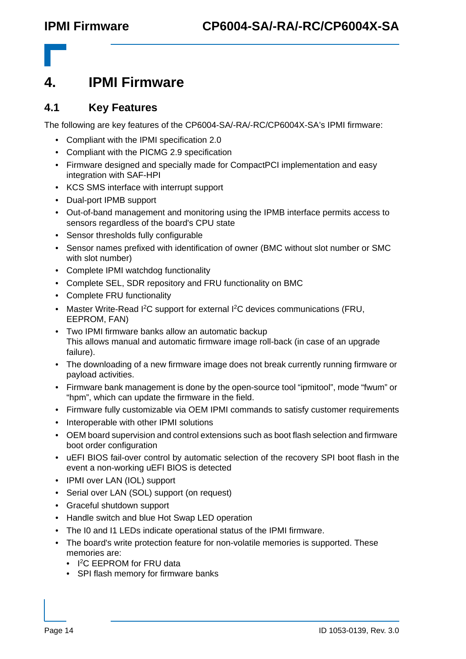

# **4. IPMI Firmware**

## **4.1 Key Features**

The following are key features of the CP6004-SA/-RA/-RC/CP6004X-SA's IPMI firmware:

- Compliant with the IPMI specification 2.0
- Compliant with the PICMG 2.9 specification
- Firmware designed and specially made for CompactPCI implementation and easy integration with SAF-HPI
- KCS SMS interface with interrupt support
- Dual-port IPMB support
- Out-of-band management and monitoring using the IPMB interface permits access to sensors regardless of the board's CPU state
- Sensor thresholds fully configurable
- Sensor names prefixed with identification of owner (BMC without slot number or SMC with slot number)
- Complete IPMI watchdog functionality
- Complete SEL, SDR repository and FRU functionality on BMC
- Complete FRU functionality
- Master Write-Read I<sup>2</sup>C support for external I<sup>2</sup>C devices communications (FRU, EEPROM, FAN)
- Two IPMI firmware banks allow an automatic backup This allows manual and automatic firmware image roll-back (in case of an upgrade failure).
- The downloading of a new firmware image does not break currently running firmware or payload activities.
- Firmware bank management is done by the open-source tool "ipmitool", mode "fwum" or "hpm", which can update the firmware in the field.
- Firmware fully customizable via OEM IPMI commands to satisfy customer requirements
- Interoperable with other IPMI solutions
- OEM board supervision and control extensions such as boot flash selection and firmware boot order configuration
- uEFI BIOS fail-over control by automatic selection of the recovery SPI boot flash in the event a non-working uEFI BIOS is detected
- IPMI over LAN (IOL) support
- Serial over LAN (SOL) support (on request)
- Graceful shutdown support
- Handle switch and blue Hot Swap LED operation
- The I0 and I1 LEDs indicate operational status of the IPMI firmware.
- The board's write protection feature for non-volatile memories is supported. These memories are:
	- I<sup>2</sup>C FFPROM for FRU data
	- SPI flash memory for firmware banks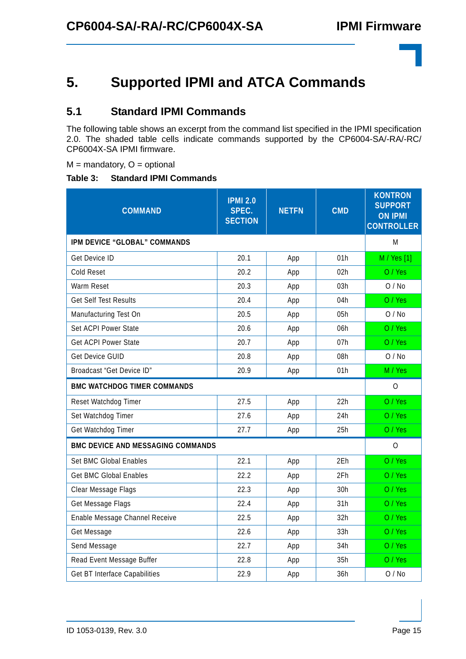# **5. Supported IPMI and ATCA Commands**

## **5.1 Standard IPMI Commands**

The following table shows an excerpt from the command list specified in the IPMI specification 2.0. The shaded table cells indicate commands supported by the CP6004-SA/-RA/-RC/ CP6004X-SA IPMI firmware.

 $M =$  mandatory,  $O =$  optional

#### <span id="page-14-0"></span>**Table 3: Standard IPMI Commands**

| <b>COMMAND</b>                           | <b>IPMI 2.0</b><br>SPEC.<br><b>SECTION</b> | <b>NETFN</b> | <b>CMD</b> | <b>KONTRON</b><br><b>SUPPORT</b><br><b>ON IPMI</b><br><b>CONTROLLER</b> |
|------------------------------------------|--------------------------------------------|--------------|------------|-------------------------------------------------------------------------|
| IPM DEVICE "GLOBAL" COMMANDS             |                                            |              |            | M                                                                       |
| <b>Get Device ID</b>                     | 20.1                                       | App          | 01h        | M / Yes [1]                                                             |
| <b>Cold Reset</b>                        | 20.2                                       | App          | 02h        | O / Yes                                                                 |
| Warm Reset                               | 20.3                                       | App          | 03h        | O/No                                                                    |
| <b>Get Self Test Results</b>             | 20.4                                       | App          | 04h        | O / Yes                                                                 |
| Manufacturing Test On                    | 20.5                                       | App          | 05h        | O/No                                                                    |
| Set ACPI Power State                     | 20.6                                       | App          | 06h        | O / Yes                                                                 |
| <b>Get ACPI Power State</b>              | 20.7                                       | App          | 07h        | O / Yes                                                                 |
| <b>Get Device GUID</b>                   | 20.8                                       | App          | 08h        | O / No                                                                  |
| Broadcast "Get Device ID"                | 20.9                                       | App          | 01h        | M / Yes                                                                 |
| <b>BMC WATCHDOG TIMER COMMANDS</b>       | $\overline{O}$                             |              |            |                                                                         |
| Reset Watchdog Timer                     | 27.5                                       | App          | 22h        | O / Yes                                                                 |
| Set Watchdog Timer                       | 27.6                                       | App          | 24h        | O / Yes                                                                 |
| Get Watchdog Timer                       | 27.7                                       | App          | 25h        | O / Yes                                                                 |
| <b>BMC DEVICE AND MESSAGING COMMANDS</b> |                                            |              |            | $\overline{O}$                                                          |
| Set BMC Global Enables                   | 22.1                                       | App          | 2Eh        | O / Yes                                                                 |
| <b>Get BMC Global Enables</b>            | 22.2                                       | App          | 2Fh        | O / Yes                                                                 |
| Clear Message Flags                      | 22.3                                       | App          | 30h        | O / Yes                                                                 |
| Get Message Flags                        | 22.4                                       | App          | 31h        | O / Yes                                                                 |
| Enable Message Channel Receive           | 22.5                                       | App          | 32h        | O / Yes                                                                 |
| Get Message                              | 22.6                                       | App          | 33h        | O / Yes                                                                 |
| Send Message                             | 22.7                                       | App          | 34h        | O / Yes                                                                 |
| Read Event Message Buffer                | 22.8                                       | App          | 35h        | O / Yes                                                                 |
| Get BT Interface Capabilities            | 22.9                                       | App          | 36h        | O/No                                                                    |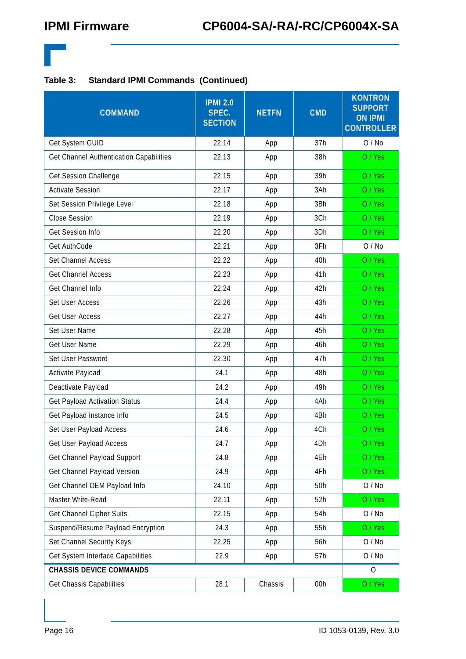| <b>COMMAND</b>                          | <b>IPMI 2.0</b><br>SPEC.<br><b>SECTION</b> | <b>NETFN</b> | <b>CMD</b> | <b>KONTRON</b><br><b>SUPPORT</b><br><b>ON IPMI</b><br><b>CONTROLLER</b> |
|-----------------------------------------|--------------------------------------------|--------------|------------|-------------------------------------------------------------------------|
| Get System GUID                         | 22.14                                      | App          | 37h        | O / No                                                                  |
| Get Channel Authentication Capabilities | 22.13                                      | App          | 38h        | O / Yes                                                                 |
| Get Session Challenge                   | 22.15                                      | App          | 39h        | O / Yes                                                                 |
| <b>Activate Session</b>                 | 22.17                                      | App          | 3Ah        | $0/$ Yes                                                                |
| Set Session Privilege Level             | 22.18                                      | App          | 3Bh        | $0/$ Yes                                                                |
| <b>Close Session</b>                    | 22.19                                      | App          | 3Ch        | O / Yes                                                                 |
| Get Session Info                        | 22.20                                      | App          | 3Dh        | O / Yes                                                                 |
| Get AuthCode                            | 22.21                                      | App          | 3Fh        | O/No                                                                    |
| Set Channel Access                      | 22.22                                      | App          | 40h        | 0/Yes                                                                   |
| <b>Get Channel Access</b>               | 22.23                                      | App          | 41h        | O / Yes                                                                 |
| Get Channel Info                        | 22.24                                      | App          | 42h        | $0/$ Yes                                                                |
| Set User Access                         | 22.26                                      | App          | 43h        | O / Yes                                                                 |
| Get User Access                         | 22.27                                      | App          | 44h        | $0/$ Yes                                                                |
| Set User Name                           | 22.28                                      | App          | 45h        | O / Yes                                                                 |
| Get User Name                           | 22.29                                      | App          | 46h        | $0/$ Yes                                                                |
| Set User Password                       | 22.30                                      | App          | 47h        | O / Yes                                                                 |
| Activate Payload                        | 24.1                                       | App          | 48h        | O / Yes                                                                 |
| Deactivate Payload                      | 24.2                                       | App          | 49h        | O / Yes                                                                 |
| Get Payload Activation Status           | 24.4                                       | App          | 4Ah        | O / Yes                                                                 |
| Get Payload Instance Info               | 24.5                                       | App          | 4Bh        | O / Yes                                                                 |
| Set User Payload Access                 | 24.6                                       | App          | 4Ch        | O / Yes                                                                 |
| Get User Payload Access                 | 24.7                                       | App          | 4Dh        | O / Yes                                                                 |
| Get Channel Payload Support             | 24.8                                       | App          | 4Eh        | O / Yes                                                                 |
| Get Channel Payload Version             | 24.9                                       | App          | 4Fh        | O / Yes                                                                 |
| Get Channel OEM Payload Info            | 24.10                                      | App          | 50h        | O / No                                                                  |
| Master Write-Read                       | 22.11                                      | App          | 52h        | O / Yes                                                                 |
| Get Channel Cipher Suits                | 22.15                                      | App          | 54h        | O / No                                                                  |
| Suspend/Resume Payload Encryption       | 24.3                                       | App          | 55h        | O / Yes                                                                 |
| Set Channel Security Keys               | 22.25                                      | App          | 56h        | O / No                                                                  |
| Get System Interface Capabilities       | 22.9                                       | App          | 57h        | O/No                                                                    |
| <b>CHASSIS DEVICE COMMANDS</b>          |                                            |              |            | $\overline{O}$                                                          |
| Get Chassis Capabilities                | 28.1                                       | Chassis      | 00h        | O / Yes                                                                 |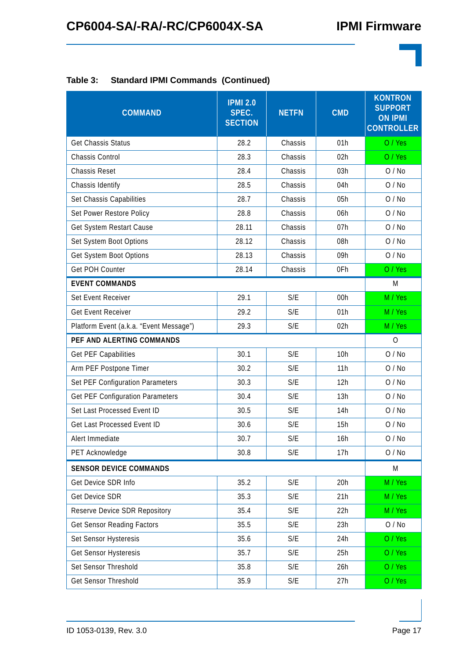

| <b>COMMAND</b>                          | <b>IPMI 2.0</b><br>SPEC.<br><b>SECTION</b> | <b>NETFN</b>            | <b>CMD</b> | <b>KONTRON</b><br><b>SUPPORT</b><br><b>ON IPMI</b><br><b>CONTROLLER</b> |
|-----------------------------------------|--------------------------------------------|-------------------------|------------|-------------------------------------------------------------------------|
| Get Chassis Status                      | 28.2                                       | Chassis                 | 01h        | O / Yes                                                                 |
| Chassis Control                         | 28.3                                       | Chassis                 | 02h        | O / Yes                                                                 |
| Chassis Reset                           | 28.4                                       | Chassis                 | 03h        | O / No                                                                  |
| Chassis Identify                        | 28.5                                       | Chassis                 | 04h        | O / No                                                                  |
| Set Chassis Capabilities                | 28.7                                       | Chassis                 | 05h        | O/No                                                                    |
| Set Power Restore Policy                | 28.8                                       | Chassis                 | 06h        | O / No                                                                  |
| Get System Restart Cause                | 28.11                                      | Chassis                 | 07h        | O/No                                                                    |
| Set System Boot Options                 | 28.12                                      | Chassis                 | 08h        | O / No                                                                  |
| Get System Boot Options                 | 28.13                                      | Chassis                 | 09h        | O / No                                                                  |
| Get POH Counter                         | 28.14                                      | Chassis                 | 0Fh        | O / Yes                                                                 |
| <b>EVENT COMMANDS</b>                   |                                            |                         |            | M                                                                       |
| Set Event Receiver                      | 29.1                                       | S/E                     | 00h        | M / Yes                                                                 |
| Get Event Receiver                      | 29.2                                       | S/E                     | 01h        | M / Yes                                                                 |
| Platform Event (a.k.a. "Event Message") | 29.3                                       | S/E                     | 02h        | M / Yes                                                                 |
| PEF AND ALERTING COMMANDS               |                                            |                         |            | 0                                                                       |
| Get PEF Capabilities                    | 30.1                                       | S/E                     | 10h        | O/No                                                                    |
| Arm PEF Postpone Timer                  | 30.2                                       | S/E                     | 11h        | O / No                                                                  |
| Set PEF Configuration Parameters        | 30.3                                       | S/E                     | 12h        | O / No                                                                  |
| Get PEF Configuration Parameters        | 30.4                                       | S/E                     | 13h        | O / No                                                                  |
| Set Last Processed Event ID             | 30.5                                       | S/E                     | 14h        | O / No                                                                  |
| Get Last Processed Event ID             | 30.6                                       | S/E                     | 15h        | O/No                                                                    |
| Alert Immediate                         | 30.7                                       | S/E                     | 16h        | 0/N <sub>0</sub>                                                        |
| PET Acknowledge                         | 30.8                                       | S/E                     | 17h        | O/No                                                                    |
| <b>SENSOR DEVICE COMMANDS</b>           |                                            |                         |            | M                                                                       |
| Get Device SDR Info                     | 35.2                                       | S/E                     | 20h        | M / Yes                                                                 |
| Get Device SDR                          | 35.3                                       | S/E                     | 21h        | M / Yes                                                                 |
| Reserve Device SDR Repository           | 35.4                                       | S/E                     | 22h        | M / Yes                                                                 |
| Get Sensor Reading Factors              | 35.5                                       | S/E                     | 23h        | O/No                                                                    |
| Set Sensor Hysteresis                   | 35.6                                       | S/E                     | 24h        | O / Yes                                                                 |
| Get Sensor Hysteresis                   | 35.7                                       | S/E                     | 25h        | O / Yes                                                                 |
| Set Sensor Threshold                    | 35.8                                       | S/E                     | 26h        | O / Yes                                                                 |
| Get Sensor Threshold                    | 35.9                                       | $\mathsf{S}/\mathsf{E}$ | 27h        | O / Yes                                                                 |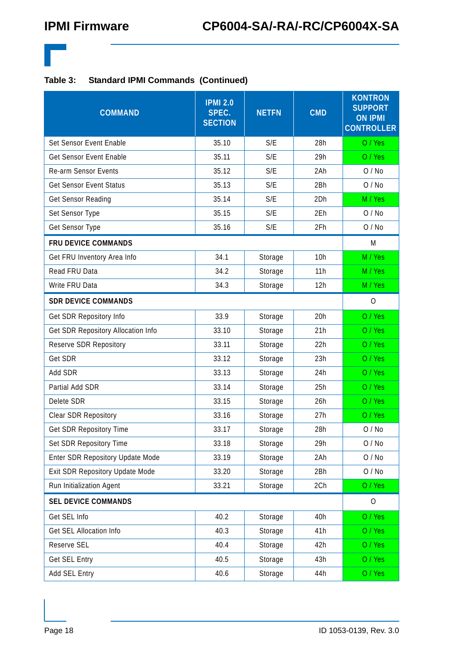| <b>COMMAND</b>                     | <b>IPMI 2.0</b><br>SPEC.<br><b>SECTION</b> | <b>NETFN</b> | <b>CMD</b> | <b>KONTRON</b><br><b>SUPPORT</b><br><b>ON IPMI</b><br><b>CONTROLLER</b> |
|------------------------------------|--------------------------------------------|--------------|------------|-------------------------------------------------------------------------|
| Set Sensor Event Enable            | 35.10                                      | S/E          | 28h        | O / Yes                                                                 |
| Get Sensor Event Enable            | 35.11                                      | S/E          | 29h        | O / Yes                                                                 |
| Re-arm Sensor Events               | 35.12                                      | S/E          | 2Ah        | O/No                                                                    |
| Get Sensor Event Status            | 35.13                                      | S/E          | 2Bh        | O/No                                                                    |
| Get Sensor Reading                 | 35.14                                      | S/E          | 2Dh        | M / Yes                                                                 |
| Set Sensor Type                    | 35.15                                      | S/E          | 2Eh        | O/No                                                                    |
| Get Sensor Type                    | 35.16                                      | S/E          | 2Fh        | O/No                                                                    |
| <b>FRU DEVICE COMMANDS</b>         |                                            |              |            | M                                                                       |
| Get FRU Inventory Area Info        | 34.1                                       | Storage      | 10h        | M / Yes                                                                 |
| Read FRU Data                      | 34.2                                       | Storage      | 11h        | M / Yes                                                                 |
| Write FRU Data                     | 34.3                                       | Storage      | 12h        | M / Yes                                                                 |
| <b>SDR DEVICE COMMANDS</b>         |                                            |              |            | $\mathbf 0$                                                             |
| Get SDR Repository Info            | 33.9                                       | Storage      | 20h        | O / Yes                                                                 |
| Get SDR Repository Allocation Info | 33.10                                      | Storage      | 21h        | O / Yes                                                                 |
| Reserve SDR Repository             | 33.11                                      | Storage      | 22h        | O / Yes                                                                 |
| Get SDR                            | 33.12                                      | Storage      | 23h        | O / Yes                                                                 |
| Add SDR                            | 33.13                                      | Storage      | 24h        | O / Yes                                                                 |
| Partial Add SDR                    | 33.14                                      | Storage      | 25h        | O / Yes                                                                 |
| Delete SDR                         | 33.15                                      | Storage      | 26h        | O / Yes                                                                 |
| Clear SDR Repository               | 33.16                                      | Storage      | 27h        | O / Yes                                                                 |
| Get SDR Repository Time            | 33.17                                      | Storage      | 28h        | O / No                                                                  |
| Set SDR Repository Time            | 33.18                                      | Storage      | 29h        | O / No                                                                  |
| Enter SDR Repository Update Mode   | 33.19                                      | Storage      | 2Ah        | O / No                                                                  |
| Exit SDR Repository Update Mode    | 33.20                                      | Storage      | 2Bh        | O/No                                                                    |
| Run Initialization Agent           | 33.21                                      | Storage      | 2Ch        | O / Yes                                                                 |
| <b>SEL DEVICE COMMANDS</b>         |                                            |              | 0          |                                                                         |
| Get SEL Info                       | 40.2                                       | Storage      | 40h        | O / Yes                                                                 |
| Get SEL Allocation Info            | 40.3                                       | Storage      | 41h        | O / Yes                                                                 |
| Reserve SEL                        | 40.4                                       | Storage      | 42h        | O / Yes                                                                 |
| Get SEL Entry                      | 40.5                                       | Storage      | 43h        | O / Yes                                                                 |
| Add SEL Entry                      | 40.6                                       | Storage      | 44h        | O / Yes                                                                 |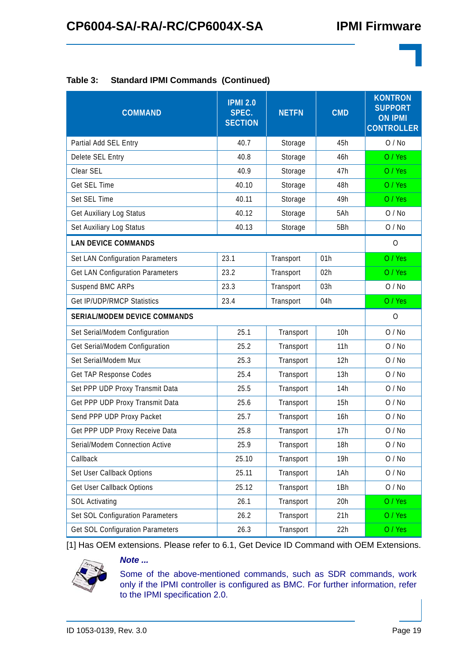

| <b>COMMAND</b>                          | <b>IPMI 2.0</b><br>SPEC.<br><b>SECTION</b> | <b>NETFN</b> | <b>CMD</b> | <b>KONTRON</b><br><b>SUPPORT</b><br><b>ON IPMI</b><br><b>CONTROLLER</b> |
|-----------------------------------------|--------------------------------------------|--------------|------------|-------------------------------------------------------------------------|
| Partial Add SEL Entry                   | 40.7                                       | Storage      | 45h        | O/No                                                                    |
| Delete SEL Entry                        | 40.8                                       | Storage      | 46h        | O / Yes                                                                 |
| Clear SEL                               | 40.9                                       | Storage      | 47h        | O / Yes                                                                 |
| Get SEL Time                            | 40.10                                      | Storage      | 48h        | O / Yes                                                                 |
| Set SEL Time                            | 40.11                                      | Storage      | 49h        | O / Yes                                                                 |
| Get Auxiliary Log Status                | 40.12                                      | Storage      | 5Ah        | O/No                                                                    |
| Set Auxiliary Log Status                | 40.13                                      | Storage      | 5Bh        | O / No                                                                  |
| <b>LAN DEVICE COMMANDS</b>              |                                            |              |            | $\overline{O}$                                                          |
| Set LAN Configuration Parameters        | 23.1                                       | Transport    | 01h        | O / Yes                                                                 |
| <b>Get LAN Configuration Parameters</b> | 23.2                                       | Transport    | 02h        | O / Yes                                                                 |
| Suspend BMC ARPs                        | 23.3                                       | Transport    | 03h        | O / No                                                                  |
| Get IP/UDP/RMCP Statistics              | 23.4                                       | Transport    | 04h        | O / Yes                                                                 |
| <b>SERIAL/MODEM DEVICE COMMANDS</b>     |                                            |              |            | $\overline{O}$                                                          |
| Set Serial/Modem Configuration          | 25.1                                       | Transport    | 10h        | O/No                                                                    |
| Get Serial/Modem Configuration          | 25.2                                       | Transport    | 11h        | O / No                                                                  |
| Set Serial/Modem Mux                    | 25.3                                       | Transport    | 12h        | O / No                                                                  |
| Get TAP Response Codes                  | 25.4                                       | Transport    | 13h        | O/No                                                                    |
| Set PPP UDP Proxy Transmit Data         | 25.5                                       | Transport    | 14h        | O / No                                                                  |
| Get PPP UDP Proxy Transmit Data         | 25.6                                       | Transport    | 15h        | O/No                                                                    |
| Send PPP UDP Proxy Packet               | 25.7                                       | Transport    | 16h        | O / No                                                                  |
| Get PPP UDP Proxy Receive Data          | 25.8                                       | Transport    | 17h        | O / No                                                                  |
| Serial/Modem Connection Active          | 25.9                                       | Transport    | 18h        | O/No                                                                    |
| Callback                                | 25.10                                      | Transport    | 19h        | O/No                                                                    |
| Set User Callback Options               | 25.11                                      | Transport    | 1Ah        | O/No                                                                    |
| Get User Callback Options               | 25.12                                      | Transport    | 1Bh        | O/No                                                                    |
| <b>SOL Activating</b>                   | 26.1                                       | Transport    | 20h        | O / Yes                                                                 |
| Set SOL Configuration Parameters        | 26.2                                       | Transport    | 21h        | O / Yes                                                                 |
| <b>Get SOL Configuration Parameters</b> | 26.3                                       | Transport    | 22h        | O / Yes                                                                 |

[1] Has OEM extensions. Please refer to 6.1, Get Device ID Command with OEM Extensions.



## *Note ...*

Some of the above-mentioned commands, such as SDR commands, work only if the IPMI controller is configured as BMC. For further information, refer to the IPMI specification 2.0.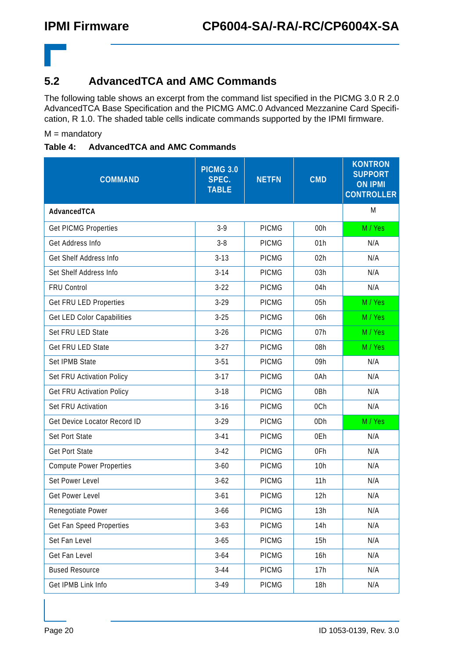

## **5.2 AdvancedTCA and AMC Commands**

The following table shows an excerpt from the command list specified in the PICMG 3.0 R 2.0 AdvancedTCA Base Specification and the PICMG AMC.0 Advanced Mezzanine Card Specification, R 1.0. The shaded table cells indicate commands supported by the IPMI firmware.

 $M =$  mandatory

#### <span id="page-19-0"></span>**Table 4: AdvancedTCA and AMC Commands**

| <b>COMMAND</b>                   | <b>PICMG 3.0</b><br>SPEC.<br><b>TABLE</b> | <b>NETFN</b> | <b>CMD</b> | <b>KONTRON</b><br><b>SUPPORT</b><br><b>ON IPMI</b><br><b>CONTROLLER</b> |
|----------------------------------|-------------------------------------------|--------------|------------|-------------------------------------------------------------------------|
| AdvancedTCA                      |                                           |              |            | M                                                                       |
| <b>Get PICMG Properties</b>      | $3-9$                                     | <b>PICMG</b> | 00h        | M / Yes                                                                 |
| Get Address Info                 | $3 - 8$                                   | <b>PICMG</b> | 01h        | N/A                                                                     |
| Get Shelf Address Info           | $3 - 13$                                  | <b>PICMG</b> | 02h        | N/A                                                                     |
| Set Shelf Address Info           | $3 - 14$                                  | <b>PICMG</b> | 03h        | N/A                                                                     |
| <b>FRU Control</b>               | $3 - 22$                                  | <b>PICMG</b> | 04h        | N/A                                                                     |
| Get FRU LED Properties           | $3 - 29$                                  | <b>PICMG</b> | 05h        | M / Yes                                                                 |
| Get LED Color Capabilities       | $3 - 25$                                  | <b>PICMG</b> | 06h        | M / Yes                                                                 |
| Set FRU LED State                | $3 - 26$                                  | <b>PICMG</b> | 07h        | M / Yes                                                                 |
| Get FRU LED State                | $3 - 27$                                  | <b>PICMG</b> | 08h        | M / Yes                                                                 |
| Set IPMB State                   | $3 - 51$                                  | <b>PICMG</b> | 09h        | N/A                                                                     |
| Set FRU Activation Policy        | $3 - 17$                                  | <b>PICMG</b> | 0Ah        | N/A                                                                     |
| <b>Get FRU Activation Policy</b> | $3 - 18$                                  | <b>PICMG</b> | 0Bh        | N/A                                                                     |
| Set FRU Activation               | $3 - 16$                                  | <b>PICMG</b> | 0Ch        | N/A                                                                     |
| Get Device Locator Record ID     | $3 - 29$                                  | <b>PICMG</b> | 0Dh        | M / Yes                                                                 |
| Set Port State                   | $3 - 41$                                  | <b>PICMG</b> | 0Eh        | N/A                                                                     |
| <b>Get Port State</b>            | $3 - 42$                                  | <b>PICMG</b> | 0Fh        | N/A                                                                     |
| <b>Compute Power Properties</b>  | $3 - 60$                                  | <b>PICMG</b> | 10h        | N/A                                                                     |
| Set Power Level                  | $3 - 62$                                  | <b>PICMG</b> | 11h        | N/A                                                                     |
| <b>Get Power Level</b>           | $3 - 61$                                  | <b>PICMG</b> | 12h        | N/A                                                                     |
| Renegotiate Power                | 3-66                                      | PICMG        | 13h        | N/A                                                                     |
| Get Fan Speed Properties         | $3 - 63$                                  | <b>PICMG</b> | 14h        | N/A                                                                     |
| Set Fan Level                    | $3 - 65$                                  | <b>PICMG</b> | 15h        | N/A                                                                     |
| Get Fan Level                    | $3 - 64$                                  | <b>PICMG</b> | 16h        | N/A                                                                     |
| <b>Bused Resource</b>            | $3 - 44$                                  | <b>PICMG</b> | 17h        | N/A                                                                     |
| Get IPMB Link Info               | $3 - 49$                                  | <b>PICMG</b> | 18h        | N/A                                                                     |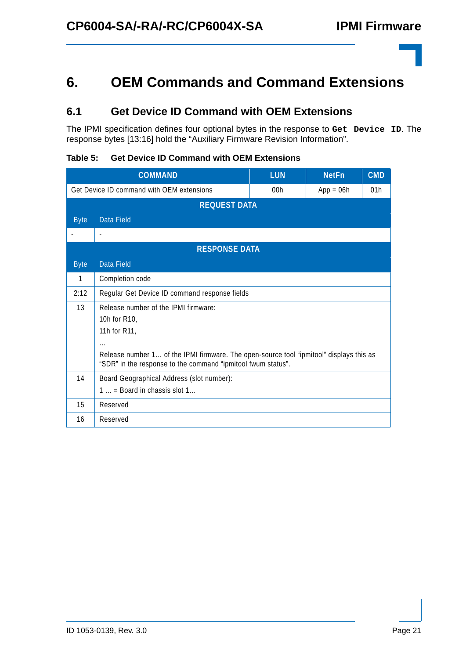# **6. OEM Commands and Command Extensions**

## **6.1 Get Device ID Command with OEM Extensions**

The IPMI specification defines four optional bytes in the response to **Get Device ID**. The response bytes [13:16] hold the "Auxiliary Firmware Revision Information".

<span id="page-20-0"></span>

|  |  |  | Table 5: Get Device ID Command with OEM Extensions |
|--|--|--|----------------------------------------------------|
|--|--|--|----------------------------------------------------|

|             | <b>COMMAND</b>                                                                                                                                          | <b>LUN</b> | <b>NetFn</b> | <b>CMD</b> |
|-------------|---------------------------------------------------------------------------------------------------------------------------------------------------------|------------|--------------|------------|
|             | Get Device ID command with OEM extensions                                                                                                               | 00h        | $App = 06h$  | 01h        |
|             | <b>REQUEST DATA</b>                                                                                                                                     |            |              |            |
| <b>Byte</b> | Data Field                                                                                                                                              |            |              |            |
|             |                                                                                                                                                         |            |              |            |
|             | <b>RESPONSE DATA</b>                                                                                                                                    |            |              |            |
| <b>Byte</b> | Data Field                                                                                                                                              |            |              |            |
| 1           | Completion code                                                                                                                                         |            |              |            |
| 2:12        | Regular Get Device ID command response fields                                                                                                           |            |              |            |
| 13          | Release number of the IPMI firmware:                                                                                                                    |            |              |            |
|             | 10h for R10,                                                                                                                                            |            |              |            |
|             | 11h for R11,                                                                                                                                            |            |              |            |
|             | $\cdots$                                                                                                                                                |            |              |            |
|             | Release number 1 of the IPMI firmware. The open-source tool "ipmitool" displays this as<br>"SDR" in the response to the command "ipmitool fwum status". |            |              |            |
| 14          | Board Geographical Address (slot number):                                                                                                               |            |              |            |
|             | $1$ = Board in chassis slot $1$                                                                                                                         |            |              |            |
| 15          | Reserved                                                                                                                                                |            |              |            |
| 16          | Reserved                                                                                                                                                |            |              |            |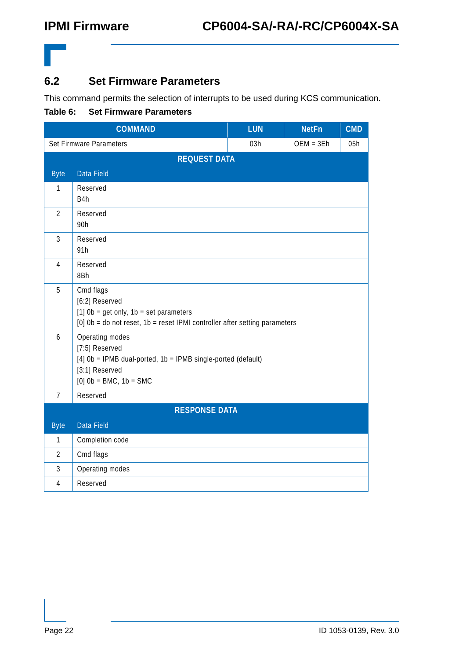

## **6.2 Set Firmware Parameters**

This command permits the selection of interrupts to be used during KCS communication.

<span id="page-21-0"></span>**Table 6: Set Firmware Parameters**

|                | <b>COMMAND</b>                                                                                                                                        | LUN | <b>NetFn</b> | <b>CMD</b> |  |
|----------------|-------------------------------------------------------------------------------------------------------------------------------------------------------|-----|--------------|------------|--|
|                | Set Firmware Parameters                                                                                                                               | 03h | $OEM = 3Eh$  | 05h        |  |
|                | <b>REQUEST DATA</b>                                                                                                                                   |     |              |            |  |
| <b>Byte</b>    | Data Field                                                                                                                                            |     |              |            |  |
| 1              | Reserved<br>B <sub>4</sub> h                                                                                                                          |     |              |            |  |
| $\overline{2}$ | Reserved<br>90h                                                                                                                                       |     |              |            |  |
| $\mathfrak{Z}$ | Reserved<br>91h                                                                                                                                       |     |              |            |  |
| $\overline{4}$ | Reserved<br>8Bh                                                                                                                                       |     |              |            |  |
| 5              | Cmd flags<br>[6:2] Reserved<br>$[1]$ 0b = get only, 1b = set parameters<br>[0] 0b = do not reset, 1b = reset IPMI controller after setting parameters |     |              |            |  |
| 6              | Operating modes<br>[7:5] Reserved<br>[4] 0b = IPMB dual-ported, 1b = IPMB single-ported (default)<br>[3:1] Reserved<br>$[0]$ $0b = BMC$ , $1b = SMC$  |     |              |            |  |
| $\overline{7}$ | Reserved                                                                                                                                              |     |              |            |  |
|                | <b>RESPONSE DATA</b>                                                                                                                                  |     |              |            |  |
| <b>Byte</b>    | Data Field                                                                                                                                            |     |              |            |  |
| $\mathbf{1}$   | Completion code                                                                                                                                       |     |              |            |  |
| $\overline{2}$ | Cmd flags                                                                                                                                             |     |              |            |  |
| $\mathfrak{Z}$ | Operating modes                                                                                                                                       |     |              |            |  |
| $\overline{4}$ | Reserved                                                                                                                                              |     |              |            |  |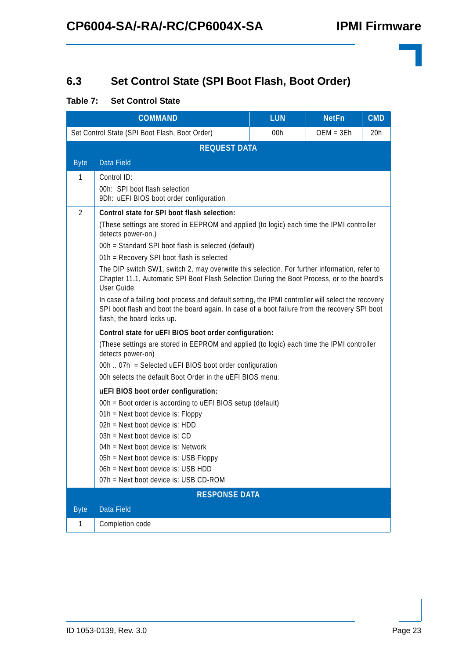# **6.3 Set Control State (SPI Boot Flash, Boot Order)**

### <span id="page-22-0"></span>**Table 7: Set Control State**

|                | <b>COMMAND</b>                                                                                                                                                                                                                     | <b>LUN</b> | <b>NetFn</b> | <b>CMD</b> |  |
|----------------|------------------------------------------------------------------------------------------------------------------------------------------------------------------------------------------------------------------------------------|------------|--------------|------------|--|
|                | Set Control State (SPI Boot Flash, Boot Order)                                                                                                                                                                                     |            | $OEM = 3Eh$  | 20h        |  |
|                | <b>REQUEST DATA</b>                                                                                                                                                                                                                |            |              |            |  |
| <b>Byte</b>    | Data Field                                                                                                                                                                                                                         |            |              |            |  |
| 1              | Control ID:                                                                                                                                                                                                                        |            |              |            |  |
|                | 00h: SPI boot flash selection<br>9Dh: uEFI BIOS boot order configuration                                                                                                                                                           |            |              |            |  |
| $\overline{2}$ | Control state for SPI boot flash selection:                                                                                                                                                                                        |            |              |            |  |
|                | (These settings are stored in EEPROM and applied (to logic) each time the IPMI controller<br>detects power-on.)                                                                                                                    |            |              |            |  |
|                | 00h = Standard SPI boot flash is selected (default)                                                                                                                                                                                |            |              |            |  |
|                | 01h = Recovery SPI boot flash is selected                                                                                                                                                                                          |            |              |            |  |
|                | The DIP switch SW1, switch 2, may overwrite this selection. For further information, refer to<br>Chapter 11.1, Automatic SPI Boot Flash Selection During the Boot Process, or to the board's<br>User Guide.                        |            |              |            |  |
|                | In case of a failing boot process and default setting, the IPMI controller will select the recovery<br>SPI boot flash and boot the board again. In case of a boot failure from the recovery SPI boot<br>flash, the board locks up. |            |              |            |  |
|                | Control state for uEFI BIOS boot order configuration:                                                                                                                                                                              |            |              |            |  |
|                | (These settings are stored in EEPROM and applied (to logic) each time the IPMI controller<br>detects power-on)                                                                                                                     |            |              |            |  |
|                | 00h  07h = Selected uEFI BIOS boot order configuration                                                                                                                                                                             |            |              |            |  |
|                | 00h selects the default Boot Order in the uEFI BIOS menu.                                                                                                                                                                          |            |              |            |  |
|                | uEFI BIOS boot order configuration:                                                                                                                                                                                                |            |              |            |  |
|                | 00h = Boot order is according to uEFI BIOS setup (default)<br>01h = Next boot device is: Floppy                                                                                                                                    |            |              |            |  |
|                | 02h = Next boot device is: HDD                                                                                                                                                                                                     |            |              |            |  |
|                | 03h = Next boot device is: CD                                                                                                                                                                                                      |            |              |            |  |
|                | 04h = Next boot device is: Network                                                                                                                                                                                                 |            |              |            |  |
|                | 05h = Next boot device is: USB Floppy                                                                                                                                                                                              |            |              |            |  |
|                | 06h = Next boot device is: USB HDD<br>07h = Next boot device is: USB CD-ROM                                                                                                                                                        |            |              |            |  |
|                | <b>RESPONSE DATA</b>                                                                                                                                                                                                               |            |              |            |  |
| <b>Byte</b>    | Data Field                                                                                                                                                                                                                         |            |              |            |  |
| 1              | Completion code                                                                                                                                                                                                                    |            |              |            |  |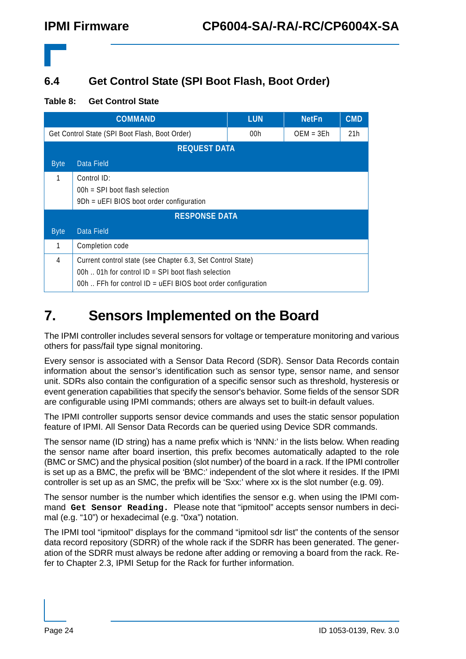# **6.4 Get Control State (SPI Boot Flash, Boot Order)**

#### <span id="page-23-0"></span>**Table 8: Get Control State**

|                | <b>COMMAND</b>                                                 | LUN | Net <sub>Fn</sub> | <b>CMD</b> |  |  |
|----------------|----------------------------------------------------------------|-----|-------------------|------------|--|--|
|                | Get Control State (SPI Boot Flash, Boot Order)                 | 00h | $OEM = 3Eh$       | 21h        |  |  |
|                | <b>REQUEST DATA</b>                                            |     |                   |            |  |  |
| <b>Byte</b>    | Data Field                                                     |     |                   |            |  |  |
| 1              | Control ID:                                                    |     |                   |            |  |  |
|                | $00h = SPI$ boot flash selection                               |     |                   |            |  |  |
|                | 9Dh = uEFI BIOS boot order configuration                       |     |                   |            |  |  |
|                | <b>RESPONSE DATA</b>                                           |     |                   |            |  |  |
| <b>Byte</b>    | Data Field                                                     |     |                   |            |  |  |
| 1              | Completion code                                                |     |                   |            |  |  |
| $\overline{4}$ | Current control state (see Chapter 6.3, Set Control State)     |     |                   |            |  |  |
|                | 00h  01h for control ID = SPI boot flash selection             |     |                   |            |  |  |
|                | 00h  FFh for control $ID = uEFI$ BIOS boot order configuration |     |                   |            |  |  |

# **7. Sensors Implemented on the Board**

The IPMI controller includes several sensors for voltage or temperature monitoring and various others for pass/fail type signal monitoring.

Every sensor is associated with a Sensor Data Record (SDR). Sensor Data Records contain information about the sensor's identification such as sensor type, sensor name, and sensor unit. SDRs also contain the configuration of a specific sensor such as threshold, hysteresis or event generation capabilities that specify the sensor's behavior. Some fields of the sensor SDR are configurable using IPMI commands; others are always set to built-in default values.

The IPMI controller supports sensor device commands and uses the static sensor population feature of IPMI. All Sensor Data Records can be queried using Device SDR commands.

The sensor name (ID string) has a name prefix which is 'NNN:' in the lists below. When reading the sensor name after board insertion, this prefix becomes automatically adapted to the role (BMC or SMC) and the physical position (slot number) of the board in a rack. If the IPMI controller is set up as a BMC, the prefix will be 'BMC:' independent of the slot where it resides. If the IPMI controller is set up as an SMC, the prefix will be 'Sxx:' where xx is the slot number (e.g. 09).

The sensor number is the number which identifies the sensor e.g. when using the IPMI command **Get Sensor Reading.** Please note that "ipmitool" accepts sensor numbers in decimal (e.g. "10") or hexadecimal (e.g. "0xa") notation.

The IPMI tool "ipmitool" displays for the command "ipmitool sdr list" the contents of the sensor data record repository (SDRR) of the whole rack if the SDRR has been generated. The generation of the SDRR must always be redone after adding or removing a board from the rack. Refer to Chapter 2.3, IPMI Setup for the Rack for further information.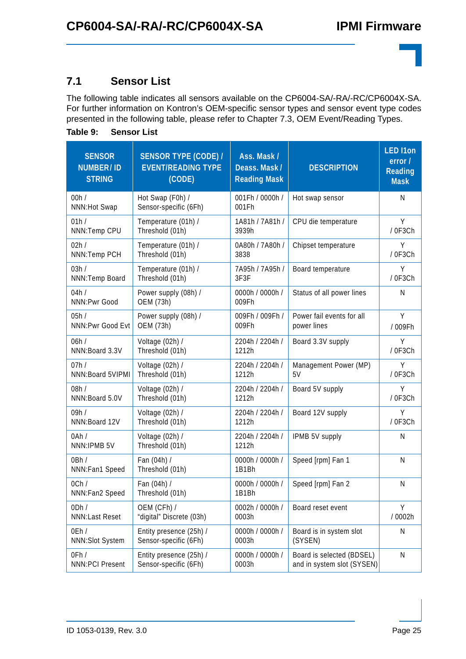

## **7.1 Sensor List**

The following table indicates all sensors available on the CP6004-SA/-RA/-RC/CP6004X-SA. For further information on Kontron's OEM-specific sensor types and sensor event type codes presented in the following table, please refer to Chapter 7.3, OEM Event/Reading Types.

| <b>SENSOR</b><br><b>NUMBER/ID</b><br><b>STRING</b> | <b>SENSOR TYPE (CODE) /</b><br><b>EVENT/READING TYPE</b><br>(CODE) | Ass. Mask /<br>Deass. Mask /<br><b>Reading Mask</b> | <b>DESCRIPTION</b>         | <b>LED I1on</b><br>error /<br>Reading<br><b>Mask</b> |
|----------------------------------------------------|--------------------------------------------------------------------|-----------------------------------------------------|----------------------------|------------------------------------------------------|
| 00h/<br>NNN:Hot Swap                               | Hot Swap (F0h) /<br>Sensor-specific (6Fh)                          | 001Fh / 0000h /<br>001Fh                            | Hot swap sensor            | N                                                    |
| 01h/                                               | Temperature (01h) /                                                | 1A81h / 7A81h /                                     | CPU die temperature        | Y                                                    |
| NNN: Temp CPU                                      | Threshold (01h)                                                    | 3939h                                               |                            | / 0F3Ch                                              |
| 02h/                                               | Temperature (01h) /                                                | 0A80h / 7A80h /                                     | Chipset temperature        | Y                                                    |
| NNN: Temp PCH                                      | Threshold (01h)                                                    | 3838                                                |                            | / 0F3Ch                                              |
| 03h/                                               | Temperature (01h) /                                                | 7A95h / 7A95h /                                     | Board temperature          | Y                                                    |
| NNN: Temp Board                                    | Threshold (01h)                                                    | 3F3F                                                |                            | / 0F3Ch                                              |
| 04h/<br>NNN:Pwr Good                               | Power supply (08h) /<br>OEM (73h)                                  | 0000h / 0000h /<br>009Fh                            | Status of all power lines  | N                                                    |
| 05h/                                               | Power supply (08h) /                                               | 009Fh / 009Fh /                                     | Power fail events for all  | Y                                                    |
| NNN: Pwr Good Evt                                  | OEM (73h)                                                          | 009Fh                                               | power lines                | /009Fh                                               |
| 06h/                                               | Voltage (02h) /                                                    | 2204h / 2204h /                                     | Board 3.3V supply          | Y                                                    |
| NNN:Board 3.3V                                     | Threshold (01h)                                                    | 1212h                                               |                            | / 0F3Ch                                              |
| 07h/                                               | Voltage (02h) /                                                    | 2204h / 2204h /                                     | Management Power (MP)      | Y                                                    |
| NNN:Board 5VIPMI                                   | Threshold (01h)                                                    | 1212h                                               | 5V                         | / 0F3Ch                                              |
| 08h/                                               | Voltage (02h) /                                                    | 2204h / 2204h /                                     | Board 5V supply            | Y                                                    |
| NNN:Board 5.0V                                     | Threshold (01h)                                                    | 1212h                                               |                            | / 0F3Ch                                              |
| 09h/                                               | Voltage (02h) /                                                    | 2204h / 2204h /                                     | Board 12V supply           | Y                                                    |
| NNN:Board 12V                                      | Threshold (01h)                                                    | 1212h                                               |                            | / 0F3Ch                                              |
| 0Ah /<br>NNN: IPMB 5V                              | Voltage (02h) /<br>Threshold (01h)                                 | 2204h / 2204h /<br>1212h                            | IPMB 5V supply             | N                                                    |
| 0Bh/<br>NNN:Fan1 Speed                             | Fan (04h) /<br>Threshold (01h)                                     | 0000h / 0000h /<br>1B1Bh                            | Speed [rpm] Fan 1          | $\mathsf{N}$                                         |
| $0Ch$ /<br>NNN:Fan2 Speed                          | Fan (04h) /<br>Threshold (01h)                                     | 0000h / 0000h /<br>1B1Bh                            | Speed [rpm] Fan 2          | $\mathsf{N}$                                         |
| 0Dh/                                               | OEM (CFh) /                                                        | 0002h / 0000h /                                     | Board reset event          | Y                                                    |
| <b>NNN:Last Reset</b>                              | "digital" Discrete (03h)                                           | 0003h                                               |                            | /0002h                                               |
| 0Eh/                                               | Entity presence (25h) /                                            | 0000h / 0000h /                                     | Board is in system slot    | $\mathsf{N}$                                         |
| NNN:Slot System                                    | Sensor-specific (6Fh)                                              | 0003h                                               | (SYSEN)                    |                                                      |
| OFh/                                               | Entity presence (25h) /                                            | 0000h / 0000h /                                     | Board is selected (BDSEL)  | $\mathsf{N}$                                         |
| <b>NNN:PCI Present</b>                             | Sensor-specific (6Fh)                                              | 0003h                                               | and in system slot (SYSEN) |                                                      |

#### <span id="page-24-0"></span>**Table 9: Sensor List**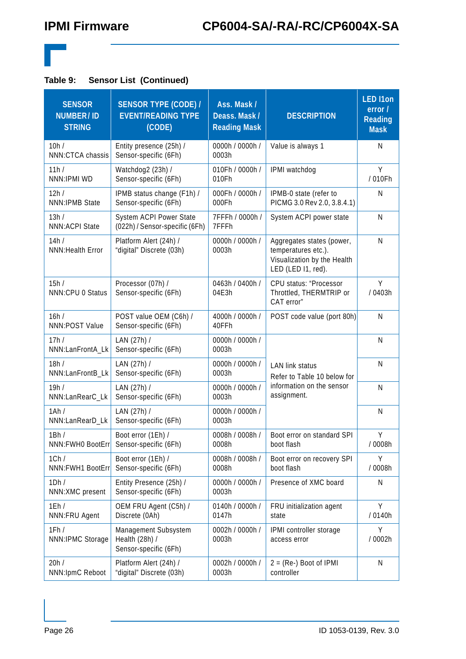### **Table 9: Sensor List (Continued)**

| <b>SENSOR</b><br><b>NUMBER/ID</b><br><b>STRING</b> | <b>SENSOR TYPE (CODE) /</b><br><b>EVENT/READING TYPE</b><br>(CODE) | Ass. Mask /<br>Deass. Mask /<br><b>Reading Mask</b> | <b>DESCRIPTION</b>                                                                                    | <b>LED I1on</b><br>error /<br>Reading<br><b>Mask</b> |
|----------------------------------------------------|--------------------------------------------------------------------|-----------------------------------------------------|-------------------------------------------------------------------------------------------------------|------------------------------------------------------|
| 10h/<br>NNN:CTCA chassis                           | Entity presence (25h) /<br>Sensor-specific (6Fh)                   | 0000h / 0000h /<br>0003h                            | Value is always 1                                                                                     | N                                                    |
| 11h/<br>NNN: IPMI WD                               | Watchdog2 (23h) /<br>Sensor-specific (6Fh)                         | 010Fh / 0000h /<br>010Fh                            | IPMI watchdog                                                                                         | Y<br>/ 010Fh                                         |
| 12h/<br><b>NNN:IPMB State</b>                      | IPMB status change (F1h) /<br>Sensor-specific (6Fh)                | 000Fh / 0000h /<br>000Fh                            | IPMB-0 state (refer to<br>PICMG 3.0 Rev 2.0, 3.8.4.1)                                                 | N                                                    |
| 13h/<br><b>NNN:ACPI State</b>                      | System ACPI Power State<br>(022h) / Sensor-specific (6Fh)          | 7FFFh / 0000h /<br>7FFFh                            | System ACPI power state                                                                               | N                                                    |
| 14h/<br><b>NNN:Health Error</b>                    | Platform Alert (24h) /<br>"digital" Discrete (03h)                 | 0000h / 0000h /<br>0003h                            | Aggregates states (power,<br>temperatures etc.).<br>Visualization by the Health<br>LED (LED I1, red). | N                                                    |
| 15h/<br>NNN:CPU 0 Status                           | Processor (07h) /<br>Sensor-specific (6Fh)                         | 0463h / 0400h /<br>04E3h                            | CPU status: "Processor<br>Throttled, THERMTRIP or<br>CAT error"                                       | Y<br>/0403h                                          |
| 16h/<br>NNN:POST Value                             | POST value OEM (C6h) /<br>Sensor-specific (6Fh)                    | 4000h / 0000h /<br>40FFh                            | POST code value (port 80h)                                                                            | N                                                    |
| 17h/<br>NNN:LanFrontA_Lk                           | LAN (27h) /<br>Sensor-specific (6Fh)                               | 0000h / 0000h /<br>0003h                            |                                                                                                       | $\mathsf{N}$                                         |
| 18h/<br>NNN:LanFrontB_Lk                           | LAN (27h) /<br>Sensor-specific (6Fh)                               | 0000h / 0000h /<br>0003h                            | <b>LAN link status</b><br>Refer to Table 10 below for                                                 | $\mathsf{N}$                                         |
| 19h/<br>NNN:LanRearC_Lk                            | LAN (27h) /<br>Sensor-specific (6Fh)                               | 0000h / 0000h /<br>0003h                            | information on the sensor<br>assignment.                                                              | $\mathsf{N}$                                         |
| 1Ah/<br>NNN:LanRearD_Lk                            | LAN (27h) /<br>Sensor-specific (6Fh)                               | 0000h / 0000h /<br>0003h                            |                                                                                                       | $\mathsf{N}$                                         |
| 1Bh/<br>NNN:FWHO BootErr                           | Boot error (1Eh) /<br>Sensor-specific (6Fh)                        | 0008h / 0008h /<br>0008h                            | Boot error on standard SPI<br>boot flash                                                              | Y<br>/0008h                                          |
| 1Ch/<br>NNN:FWH1 BootErr                           | Boot error (1Eh) /<br>Sensor-specific (6Fh)                        | 0008h / 0008h /<br>0008h                            | Boot error on recovery SPI<br>boot flash                                                              | Y<br>/0008h                                          |
| 1Dh/<br>NNN: XMC present                           | Entity Presence (25h) /<br>Sensor-specific (6Fh)                   | 0000h / 0000h /<br>0003h                            | Presence of XMC board                                                                                 | N                                                    |
| 1Eh/<br>NNN:FRU Agent                              | OEM FRU Agent (C5h) /<br>Discrete (0Ah)                            | 0140h / 0000h /<br>0147h                            | FRU initialization agent<br>state                                                                     | Y<br>/0140h                                          |
| 1Fh/<br>NNN:IPMC Storage                           | Management Subsystem<br>Health (28h) /<br>Sensor-specific (6Fh)    | 0002h / 0000h /<br>0003h                            | IPMI controller storage<br>access error                                                               | Y<br>/0002h                                          |
| 20h/<br>NNN: IpmC Reboot                           | Platform Alert (24h) /<br>"digital" Discrete (03h)                 | 0002h / 0000h /<br>0003h                            | $2 = (Re-)$ Boot of IPMI<br>controller                                                                | N                                                    |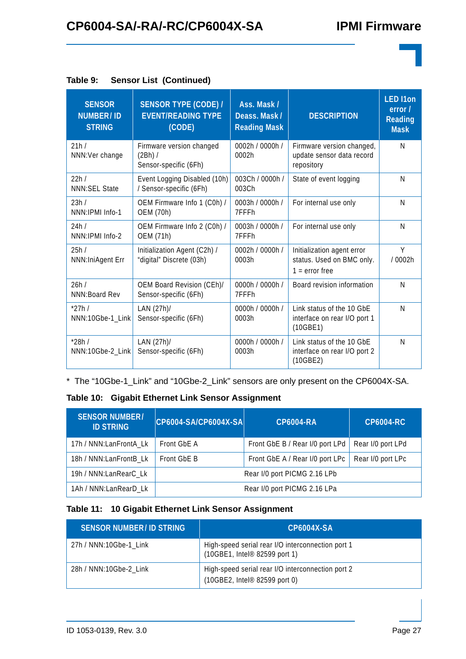| <b>SENSOR</b><br><b>NUMBER/ID</b><br><b>STRING</b> | <b>SENSOR TYPE (CODE) /</b><br><b>EVENT/READING TYPE</b><br>(CODE) | Ass. Mask /<br>Deass. Mask/<br><b>Reading Mask</b> | <b>DESCRIPTION</b>                                                          | <b>LED I1on</b><br>error /<br>Reading<br><b>Mask</b> |
|----------------------------------------------------|--------------------------------------------------------------------|----------------------------------------------------|-----------------------------------------------------------------------------|------------------------------------------------------|
| 21h/<br>NNN: Ver change                            | Firmware version changed<br>$(2Bh)$ /<br>Sensor-specific (6Fh)     | 0002h / 0000h /<br>0002h                           | Firmware version changed,<br>update sensor data record<br>repository        | $\mathsf{N}$                                         |
| 22h/<br><b>NNN:SEL State</b>                       | Event Logging Disabled (10h)<br>/ Sensor-specific (6Fh)            | 003Ch / 0000h /<br>003Ch                           | State of event logging                                                      | N                                                    |
| 23h/<br>NNN:IPMI Info-1                            | OEM Firmware Info 1 (C0h) /<br>OEM (70h)                           | 0003h / 0000h /<br>7FFFh                           | For internal use only                                                       | N                                                    |
| 24h/<br>NNN:IPMI Info-2                            | OEM Firmware Info 2 (C0h) /<br>OEM (71h)                           | 0003h / 0000h /<br>7FFFh                           | For internal use only                                                       | N                                                    |
| 25h/<br>NNN:IniAgent Err                           | Initialization Agent (C2h) /<br>"digital" Discrete (03h)           | 0002h / 0000h /<br>0003h                           | Initialization agent error<br>status. Used on BMC only.<br>$1 =$ error free | Y<br>/0002h                                          |
| 26h/<br>NNN: Board Rev                             | OEM Board Revision (CEh)/<br>Sensor-specific (6Fh)                 | 0000h / 0000h /<br>7FFFh                           | Board revision information                                                  | N                                                    |
| $*27h/$<br>NNN:10Gbe-1_Link                        | LAN (27h)/<br>Sensor-specific (6Fh)                                | 0000h / 0000h /<br>0003h                           | Link status of the 10 GbE<br>interface on rear I/O port 1<br>(10GBE1)       | N                                                    |
| $*28h/$<br>NNN:10Gbe-2_Link                        | LAN (27h)/<br>Sensor-specific (6Fh)                                | 0000h / 0000h /<br>0003h                           | Link status of the 10 GbE<br>interface on rear I/O port 2<br>(10GBE2)       | N                                                    |

#### **Table 9: Sensor List (Continued)**

\* The "10Gbe-1\_Link" and "10Gbe-2\_Link" sensors are only present on the CP6004X-SA.

### <span id="page-26-0"></span>**Table 10: Gigabit Ethernet Link Sensor Assignment**

| <b>SENSOR NUMBER/</b><br><b>ID STRING</b> | $ CP6004-SA/CP6004X-SA $     | <b>CP6004-RA</b>                | <b>CP6004-RC</b>  |  |
|-------------------------------------------|------------------------------|---------------------------------|-------------------|--|
| 17h / NNN:LanFrontA_Lk                    | Front GbE A                  | Front GbE B / Rear I/0 port LPd | Rear I/0 port LPd |  |
| 18h / NNN:LanFrontB_Lk                    | Front GbE B                  | Front GbE A / Rear I/0 port LPc | Rear I/O port LPc |  |
| 19h / NNN:LanRearC_Lk                     | Rear I/0 port PICMG 2.16 LPb |                                 |                   |  |
| 1Ah / NNN:LanRearD_Lk                     | Rear I/0 port PICMG 2.16 LPa |                                 |                   |  |

#### <span id="page-26-1"></span>**Table 11: 10 Gigabit Ethernet Link Sensor Assignment**

| <b>SENSOR NUMBER/ ID STRING</b> | CP6004X-SA                                                                                     |
|---------------------------------|------------------------------------------------------------------------------------------------|
| 27h / NNN:10Gbe-1_Link          | High-speed serial rear I/O interconnection port 1<br>(10GBE1, Intel <sup>®</sup> 82599 port 1) |
| 28h / NNN:10Gbe-2_Link          | High-speed serial rear I/O interconnection port 2<br>(10GBE2, Intel <sup>®</sup> 82599 port 0) |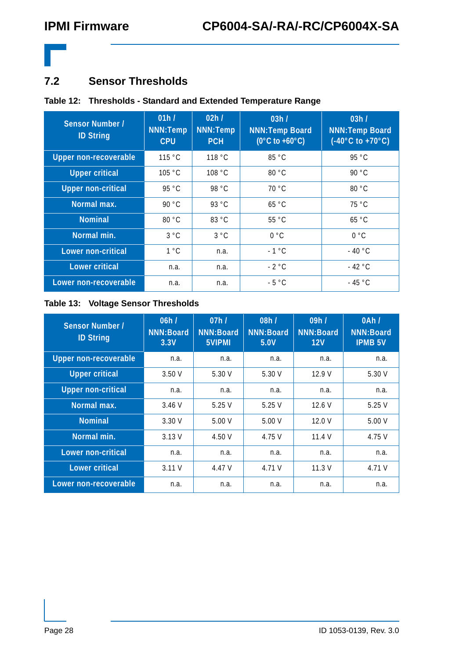

## **7.2 Sensor Thresholds**

#### <span id="page-27-0"></span>**Table 12: Thresholds - Standard and Extended Temperature Range**

| Sensor Number /<br><b>ID String</b> | 01h/<br>NNN:Temp<br><b>CPU</b> | 02h/<br>NNN:Temp<br><b>PCH</b> | 03h/<br><b>NNN: Temp Board</b><br>$(0^{\circ}C$ to +60 $^{\circ}C)$ | 03h/<br><b>NNN: Temp Board</b><br>$(-40^{\circ}$ C to +70 $^{\circ}$ C) |
|-------------------------------------|--------------------------------|--------------------------------|---------------------------------------------------------------------|-------------------------------------------------------------------------|
| <b>Upper non-recoverable</b>        | 115 °C                         | 118 °C                         | 85 °C                                                               | 95 °C                                                                   |
| <b>Upper critical</b>               | 105 °C                         | 108 °C                         | 80 °C                                                               | 90 °C                                                                   |
| <b>Upper non-critical</b>           | 95 °C                          | 98 °C                          | 70 °C                                                               | 80 °C                                                                   |
| Normal max.                         | 90 $\degree$ C                 | 93 $\degree$ C                 | 65 °C                                                               | 75 °C                                                                   |
| <b>Nominal</b>                      | 80 °C                          | 83 °C                          | 55 °C                                                               | 65 °C                                                                   |
| Normal min.                         | 3 °C                           | 3 °C                           | 0 °C                                                                | $0^{\circ}$ C                                                           |
| Lower non-critical                  | 1 °C                           | n.a.                           | $-1$ °C                                                             | $-40 °C$                                                                |
| <b>Lower critical</b>               | n.a.                           | n.a.                           | $-2$ °C                                                             | $-42 °C$                                                                |
| Lower non-recoverable               | n.a.                           | n.a.                           | $-5 °C$                                                             | $-45 °C$                                                                |

#### <span id="page-27-1"></span>**Table 13: Voltage Sensor Thresholds**

| Sensor Number /<br><b>ID String</b> | 06h/<br>NNN:Board<br>3.3V | 07h/<br>NNN:Board<br><b>5VIPMI</b> | 08h/<br>NNN:Board<br>5.0V | $09h$ /<br>NNN:Board<br>12V | 0Ah/<br>NNN:Board<br><b>IPMB 5V</b> |
|-------------------------------------|---------------------------|------------------------------------|---------------------------|-----------------------------|-------------------------------------|
| <b>Upper non-recoverable</b>        | n.a.                      | n.a.                               | n.a.                      | n.a.                        | n.a.                                |
| <b>Upper critical</b>               | 3.50V                     | 5.30V                              | 5.30V                     | 12.9 V                      | 5.30 V                              |
| <b>Upper non-critical</b>           | n.a.                      | n.a.                               | n.a.                      | n.a.                        | n.a.                                |
| Normal max.                         | 3.46V                     | 5.25V                              | 5.25V                     | 12.6 V                      | 5.25V                               |
| <b>Nominal</b>                      | 3.30V                     | 5.00V                              | 5.00V                     | 12.0V                       | 5.00 V                              |
| Normal min.                         | 3.13V                     | 4.50 V                             | 4.75 V                    | 11.4 V                      | 4.75 V                              |
| <b>Lower non-critical</b>           | n.a.                      | n.a.                               | n.a.                      | n.a.                        | n.a.                                |
| <b>Lower critical</b>               | 3.11V                     | 4.47 V                             | 4.71 V                    | 11.3 V                      | 4.71 V                              |
| Lower non-recoverable               | n.a.                      | n.a.                               | n.a.                      | n.a.                        | n.a.                                |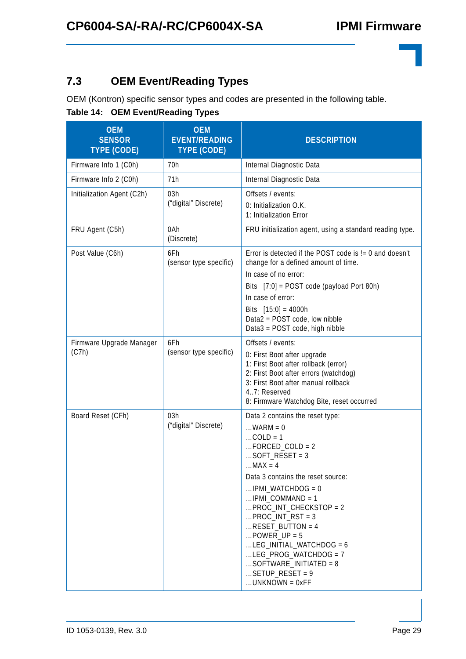

# **7.3 OEM Event/Reading Types**

OEM (Kontron) specific sensor types and codes are presented in the following table.

### <span id="page-28-0"></span>**Table 14: OEM Event/Reading Types**

| <b>OEM</b><br><b>SENSOR</b><br><b>TYPE (CODE)</b> | <b>OEM</b><br><b>EVENT/READING</b><br><b>TYPE (CODE)</b> | <b>DESCRIPTION</b>                                                                                                                                                                                                                                                                                                                                                                                                                    |
|---------------------------------------------------|----------------------------------------------------------|---------------------------------------------------------------------------------------------------------------------------------------------------------------------------------------------------------------------------------------------------------------------------------------------------------------------------------------------------------------------------------------------------------------------------------------|
| Firmware Info 1 (C0h)                             | 70h                                                      | Internal Diagnostic Data                                                                                                                                                                                                                                                                                                                                                                                                              |
| Firmware Info 2 (C0h)                             | 71h                                                      | Internal Diagnostic Data                                                                                                                                                                                                                                                                                                                                                                                                              |
| Initialization Agent (C2h)                        | 03h<br>("digital" Discrete)                              | Offsets / events:<br>0: Initialization O.K.<br>1: Initialization Error                                                                                                                                                                                                                                                                                                                                                                |
| FRU Agent (C5h)                                   | 0Ah<br>(Discrete)                                        | FRU initialization agent, using a standard reading type.                                                                                                                                                                                                                                                                                                                                                                              |
| Post Value (C6h)                                  | 6Fh<br>(sensor type specific)                            | Error is detected if the POST code is != 0 and doesn't<br>change for a defined amount of time.<br>In case of no error:<br>Bits $[7:0]$ = POST code (payload Port 80h)<br>In case of error:<br>Bits $[15:0] = 4000h$<br>Data2 = POST code, low nibble<br>Data3 = POST code, high nibble                                                                                                                                                |
| Firmware Upgrade Manager<br>(C7h)                 | 6Fh<br>(sensor type specific)                            | Offsets / events:<br>0: First Boot after upgrade<br>1: First Boot after rollback (error)<br>2: First Boot after errors (watchdog)<br>3: First Boot after manual rollback<br>47: Reserved<br>8: Firmware Watchdog Bite, reset occurred                                                                                                                                                                                                 |
| Board Reset (CFh)                                 | 03h<br>("digital" Discrete)                              | Data 2 contains the reset type:<br>$$ WARM = 0<br>$COLD = 1$<br>$$ FORCED_COLD = 2<br>$$ SOFT_RESET = 3<br>$MAX = 4$<br>Data 3 contains the reset source:<br>$IPMI_WATCHDOG = 0$<br>$\ldots$ IPMI_COMMAND = 1<br>$PROC_NIT_CHECKSTOP = 2$<br>$PROCINT_RST = 3$<br>$$ RESET_BUTTON = 4<br>POWER $UP = 5$<br>LEG_INITIAL_WATCHDOG = 6<br>$LEG_PROG_WATCHDOG = 7$<br>$SOFTWARE_INITIATED = 8$<br>$SETUP\_RESET = 9$<br>$$ UNKNOWN = 0xFF |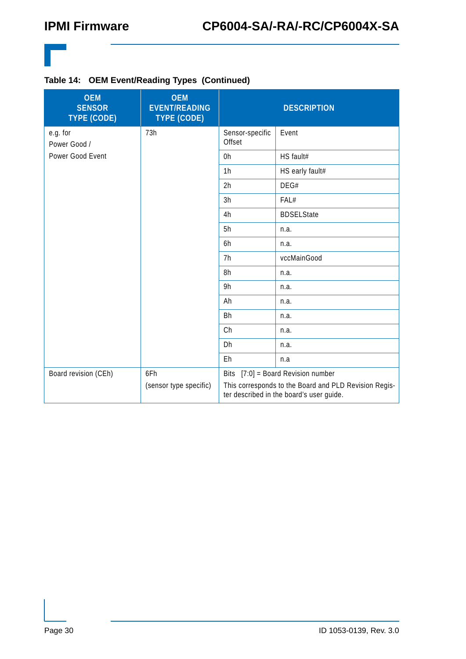

### **Table 14: OEM Event/Reading Types (Continued)**

| <b>OEM</b><br><b>SENSOR</b><br><b>TYPE (CODE)</b> | <b>OEM</b><br><b>EVENT/READING</b><br><b>TYPE (CODE)</b> | <b>DESCRIPTION</b>                                                                                                                      |                   |  |
|---------------------------------------------------|----------------------------------------------------------|-----------------------------------------------------------------------------------------------------------------------------------------|-------------------|--|
| e.g. for<br>Power Good /                          | 73h                                                      | Sensor-specific<br>Offset                                                                                                               | Event             |  |
| Power Good Event                                  |                                                          | 0 <sub>h</sub>                                                                                                                          | HS fault#         |  |
|                                                   |                                                          | 1 <sub>h</sub>                                                                                                                          | HS early fault#   |  |
|                                                   |                                                          | 2 <sub>h</sub>                                                                                                                          | DEG#              |  |
|                                                   |                                                          | 3h                                                                                                                                      | FAL#              |  |
|                                                   |                                                          | 4h                                                                                                                                      | <b>BDSELState</b> |  |
|                                                   |                                                          | 5h                                                                                                                                      | n.a.              |  |
|                                                   |                                                          | 6h                                                                                                                                      | n.a.              |  |
|                                                   |                                                          | 7 <sub>h</sub>                                                                                                                          | vccMainGood       |  |
|                                                   |                                                          | 8h                                                                                                                                      | n.a.              |  |
|                                                   |                                                          | 9h                                                                                                                                      | n.a.              |  |
|                                                   |                                                          | Ah                                                                                                                                      | n.a.              |  |
|                                                   |                                                          | <b>Bh</b>                                                                                                                               | n.a.              |  |
|                                                   |                                                          | Ch                                                                                                                                      | n.a.              |  |
|                                                   |                                                          | Dh                                                                                                                                      | n.a.              |  |
|                                                   |                                                          | Eh                                                                                                                                      | n.a               |  |
| Board revision (CEh)                              | 6Fh<br>(sensor type specific)                            | Bits [7:0] = Board Revision number<br>This corresponds to the Board and PLD Revision Regis-<br>ter described in the board's user guide. |                   |  |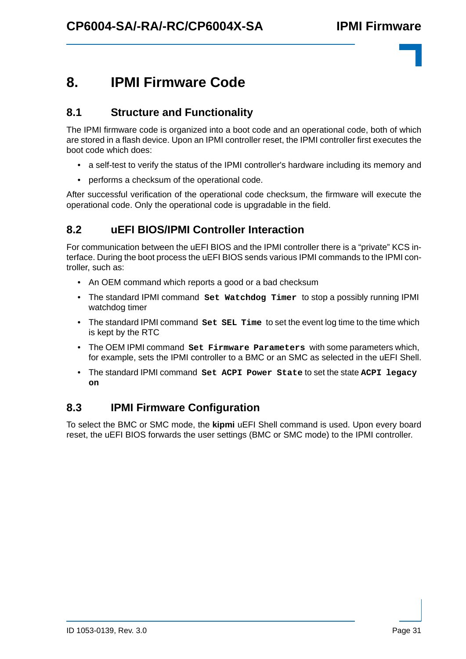

# **8. IPMI Firmware Code**

## **8.1 Structure and Functionality**

The IPMI firmware code is organized into a boot code and an operational code, both of which are stored in a flash device. Upon an IPMI controller reset, the IPMI controller first executes the boot code which does:

- a self-test to verify the status of the IPMI controller's hardware including its memory and
- performs a checksum of the operational code.

After successful verification of the operational code checksum, the firmware will execute the operational code. Only the operational code is upgradable in the field.

## **8.2 uEFI BIOS/IPMI Controller Interaction**

For communication between the uEFI BIOS and the IPMI controller there is a "private" KCS interface. During the boot process the uEFI BIOS sends various IPMI commands to the IPMI controller, such as:

- An OEM command which reports a good or a bad checksum
- The standard IPMI command **Set Watchdog Timer** to stop a possibly running IPMI watchdog timer
- The standard IPMI command **Set SEL Time** to set the event log time to the time which is kept by the RTC
- The OEM IPMI command **Set Firmware Parameters** with some parameters which, for example, sets the IPMI controller to a BMC or an SMC as selected in the uEFI Shell.
- The standard IPMI command **Set ACPI Power State** to set the state **ACPI legacy on**

## **8.3 IPMI Firmware Configuration**

To select the BMC or SMC mode, the **kipmi** uEFI Shell command is used. Upon every board reset, the uEFI BIOS forwards the user settings (BMC or SMC mode) to the IPMI controller.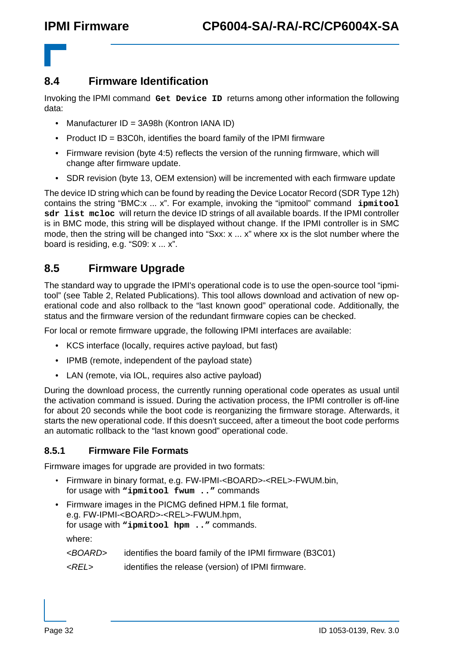

## **8.4 Firmware Identification**

Invoking the IPMI command **Get Device ID** returns among other information the following data:

- Manufacturer ID = 3A98h (Kontron IANA ID)
- Product ID = B3C0h, identifies the board family of the IPMI firmware
- Firmware revision (byte 4:5) reflects the version of the running firmware, which will change after firmware update.
- SDR revision (byte 13, OEM extension) will be incremented with each firmware update

The device ID string which can be found by reading the Device Locator Record (SDR Type 12h) contains the string "BMC:x ... x". For example, invoking the "ipmitool" command **ipmitool sdr list mcloc** will return the device ID strings of all available boards. If the IPMI controller is in BMC mode, this string will be displayed without change. If the IPMI controller is in SMC mode, then the string will be changed into "Sxx: x ... x" where xx is the slot number where the board is residing, e.g. "S09: x ... x".

## **8.5 Firmware Upgrade**

The standard way to upgrade the IPMI's operational code is to use the open-source tool "ipmitool" (see Table 2, Related Publications). This tool allows download and activation of new operational code and also rollback to the "last known good" operational code. Additionally, the status and the firmware version of the redundant firmware copies can be checked.

For local or remote firmware upgrade, the following IPMI interfaces are available:

- KCS interface (locally, requires active payload, but fast)
- IPMB (remote, independent of the payload state)
- LAN (remote, via IOL, requires also active payload)

During the download process, the currently running operational code operates as usual until the activation command is issued. During the activation process, the IPMI controller is off-line for about 20 seconds while the boot code is reorganizing the firmware storage. Afterwards, it starts the new operational code. If this doesn't succeed, after a timeout the boot code performs an automatic rollback to the "last known good" operational code.

#### **8.5.1 Firmware File Formats**

Firmware images for upgrade are provided in two formats:

- Firmware in binary format, e.g. FW-IPMI-<BOARD>-<REL>-FWUM.bin, for usage with **"ipmitool fwum .."** commands
- Firmware images in the PICMG defined HPM.1 file format, e.g. FW-IPMI-<BOARD>-<REL>-FWUM.hpm, for usage with **"ipmitool hpm .."** commands. where: *<BOARD>* identifies the board family of the IPMI firmware (B3C01) *<REL>* identifies the release (version) of IPMI firmware.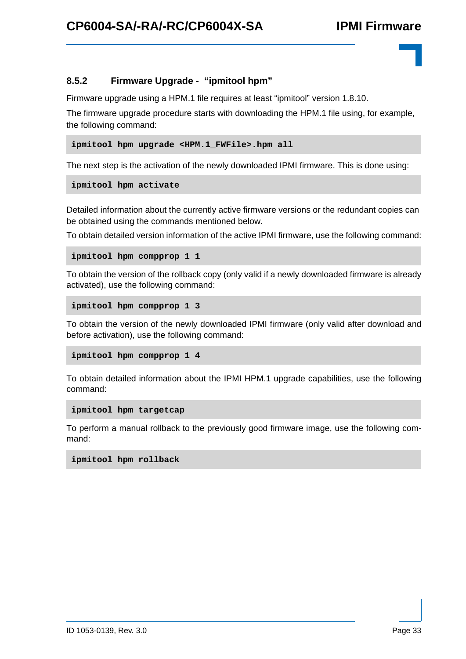#### **8.5.2 Firmware Upgrade - "ipmitool hpm"**

Firmware upgrade using a HPM.1 file requires at least "ipmitool" version 1.8.10.

The firmware upgrade procedure starts with downloading the HPM.1 file using, for example, the following command:

**ipmitool hpm upgrade <HPM.1\_FWFile>.hpm all**

The next step is the activation of the newly downloaded IPMI firmware. This is done using:

**ipmitool hpm activate**

Detailed information about the currently active firmware versions or the redundant copies can be obtained using the commands mentioned below.

To obtain detailed version information of the active IPMI firmware, use the following command:

**ipmitool hpm compprop 1 1**

To obtain the version of the rollback copy (only valid if a newly downloaded firmware is already activated), use the following command:

**ipmitool hpm compprop 1 3**

To obtain the version of the newly downloaded IPMI firmware (only valid after download and before activation), use the following command:

**ipmitool hpm compprop 1 4**

To obtain detailed information about the IPMI HPM.1 upgrade capabilities, use the following command:

**ipmitool hpm targetcap**

To perform a manual rollback to the previously good firmware image, use the following command:

**ipmitool hpm rollback**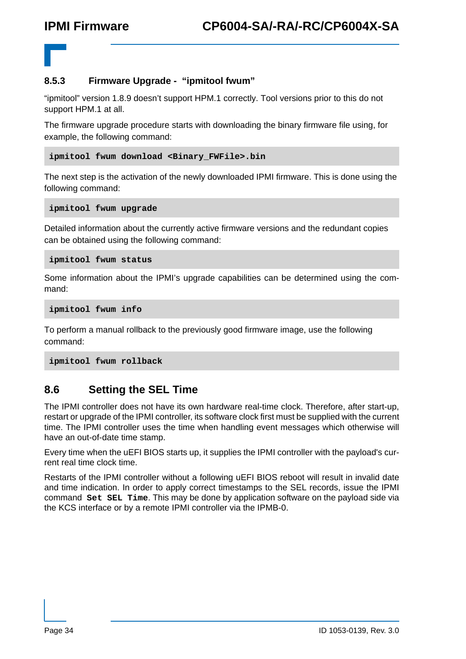

#### **8.5.3 Firmware Upgrade - "ipmitool fwum"**

"ipmitool" version 1.8.9 doesn't support HPM.1 correctly. Tool versions prior to this do not support HPM.1 at all.

The firmware upgrade procedure starts with downloading the binary firmware file using, for example, the following command:

**ipmitool fwum download <Binary\_FWFile>.bin**

The next step is the activation of the newly downloaded IPMI firmware. This is done using the following command:

#### **ipmitool fwum upgrade**

Detailed information about the currently active firmware versions and the redundant copies can be obtained using the following command:

#### **ipmitool fwum status**

Some information about the IPMI's upgrade capabilities can be determined using the command:

**ipmitool fwum info**

To perform a manual rollback to the previously good firmware image, use the following command:

```
ipmitool fwum rollback
```
## **8.6 Setting the SEL Time**

The IPMI controller does not have its own hardware real-time clock. Therefore, after start-up, restart or upgrade of the IPMI controller, its software clock first must be supplied with the current time. The IPMI controller uses the time when handling event messages which otherwise will have an out-of-date time stamp.

Every time when the uEFI BIOS starts up, it supplies the IPMI controller with the payload's current real time clock time.

Restarts of the IPMI controller without a following uEFI BIOS reboot will result in invalid date and time indication. In order to apply correct timestamps to the SEL records, issue the IPMI command **Set SEL Time**. This may be done by application software on the payload side via the KCS interface or by a remote IPMI controller via the IPMB-0.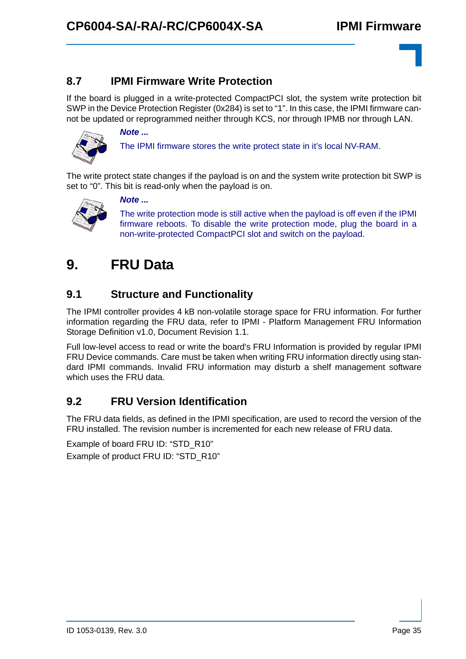## **8.7 IPMI Firmware Write Protection**

If the board is plugged in a write-protected CompactPCI slot, the system write protection bit SWP in the Device Protection Register (0x284) is set to "1". In this case, the IPMI firmware cannot be updated or reprogrammed neither through KCS, nor through IPMB nor through LAN.



# *Note ...*

The IPMI firmware stores the write protect state in it's local NV-RAM.

The write protect state changes if the payload is on and the system write protection bit SWP is set to "0". This bit is read-only when the payload is on.



#### *Note ...*

The write protection mode is still active when the payload is off even if the IPMI firmware reboots. To disable the write protection mode, plug the board in a non-write-protected CompactPCI slot and switch on the payload.

# **9. FRU Data**

## **9.1 Structure and Functionality**

The IPMI controller provides 4 kB non-volatile storage space for FRU information. For further information regarding the FRU data, refer to IPMI - Platform Management FRU Information Storage Definition v1.0, Document Revision 1.1.

Full low-level access to read or write the board's FRU Information is provided by regular IPMI FRU Device commands. Care must be taken when writing FRU information directly using standard IPMI commands. Invalid FRU information may disturb a shelf management software which uses the FRU data.

## **9.2 FRU Version Identification**

The FRU data fields, as defined in the IPMI specification, are used to record the version of the FRU installed. The revision number is incremented for each new release of FRU data.

Example of board FRU ID: "STD\_R10" Example of product FRU ID: "STD\_R10"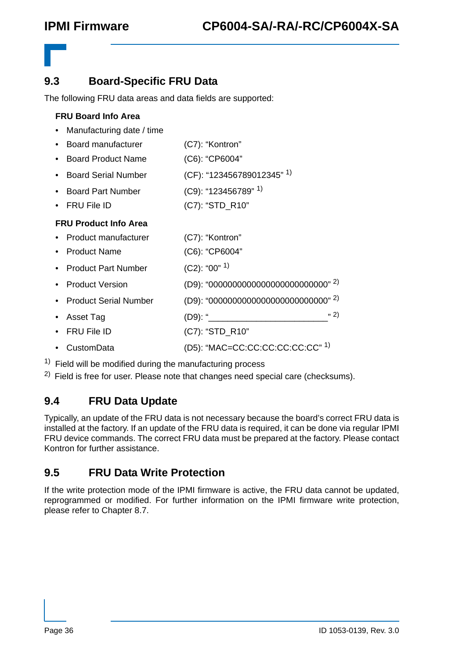

## **9.3 Board-Specific FRU Data**

The following FRU data areas and data fields are supported:

### **FRU Board Info Area**

- Manufacturing date / time
- Board manufacturer (C7): "Kontron"
- Board Product Name (C6): "CP6004"
- Board Serial Number  $(CF)$ : "123456789012345" <sup>1)</sup>
- Board Part Number  $(C9)$ : "123456789" <sup>1)</sup>
- FRU File ID (C7): "STD\_R10"

#### **FRU Product Info Area**

- Product manufacturer (C7): "Kontron"
- Product Name (C6): "CP6004"
- Product Part Number  $(C2)$ : "00" <sup>1)</sup>
- Product Version (D9): "000000000000000000000000000000" 2)
- Product Serial Number (D9): "0000000000000000000000000" 2)
- Asset Tag  $(D9)$ : " $($
- FRU File ID (C7): "STD\_R10"
- CustomData (D5): "MAC=CC:CC:CC:CC:CC:CC" <sup>1)</sup>

 $1)$  Field will be modified during the manufacturing process

 $2)$  Field is free for user. Please note that changes need special care (checksums).

# **9.4 FRU Data Update**

Typically, an update of the FRU data is not necessary because the board's correct FRU data is installed at the factory. If an update of the FRU data is required, it can be done via regular IPMI FRU device commands. The correct FRU data must be prepared at the factory. Please contact Kontron for further assistance.

## **9.5 FRU Data Write Protection**

If the write protection mode of the IPMI firmware is active, the FRU data cannot be updated, reprogrammed or modified. For further information on the IPMI firmware write protection, please refer to Chapter 8.7.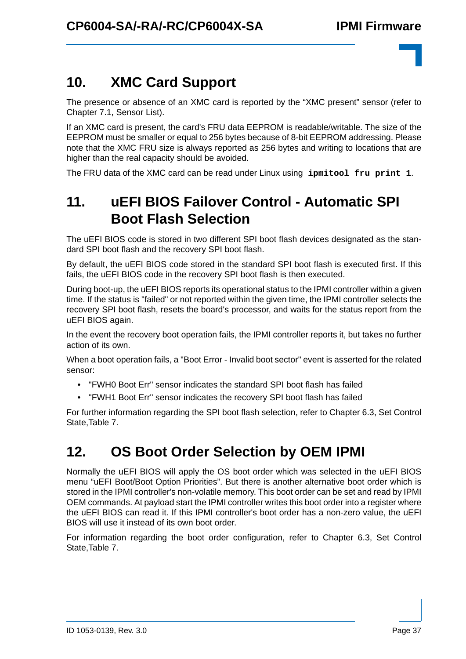

# **10. XMC Card Support**

The presence or absence of an XMC card is reported by the "XMC present" sensor (refer to Chapter 7.1, Sensor List).

If an XMC card is present, the card's FRU data EEPROM is readable/writable. The size of the EEPROM must be smaller or equal to 256 bytes because of 8-bit EEPROM addressing. Please note that the XMC FRU size is always reported as 256 bytes and writing to locations that are higher than the real capacity should be avoided.

The FRU data of the XMC card can be read under Linux using **ipmitool fru print 1**.

# **11. uEFI BIOS Failover Control - Automatic SPI Boot Flash Selection**

The uEFI BIOS code is stored in two different SPI boot flash devices designated as the standard SPI boot flash and the recovery SPI boot flash.

By default, the uEFI BIOS code stored in the standard SPI boot flash is executed first. If this fails, the uEFI BIOS code in the recovery SPI boot flash is then executed.

During boot-up, the uEFI BIOS reports its operational status to the IPMI controller within a given time. If the status is "failed" or not reported within the given time, the IPMI controller selects the recovery SPI boot flash, resets the board's processor, and waits for the status report from the uEFI BIOS again.

In the event the recovery boot operation fails, the IPMI controller reports it, but takes no further action of its own.

When a boot operation fails, a "Boot Error - Invalid boot sector" event is asserted for the related sensor:

- "FWH0 Boot Err" sensor indicates the standard SPI boot flash has failed
- "FWH1 Boot Err" sensor indicates the recovery SPI boot flash has failed

For further information regarding the SPI boot flash selection, refer to Chapter 6.3, Set Control State,Table 7.

# **12. OS Boot Order Selection by OEM IPMI**

Normally the uEFI BIOS will apply the OS boot order which was selected in the uEFI BIOS menu "uEFI Boot/Boot Option Priorities". But there is another alternative boot order which is stored in the IPMI controller's non-volatile memory. This boot order can be set and read by IPMI OEM commands. At payload start the IPMI controller writes this boot order into a register where the uEFI BIOS can read it. If this IPMI controller's boot order has a non-zero value, the uEFI BIOS will use it instead of its own boot order.

For information regarding the boot order configuration, refer to Chapter 6.3, Set Control State,Table 7.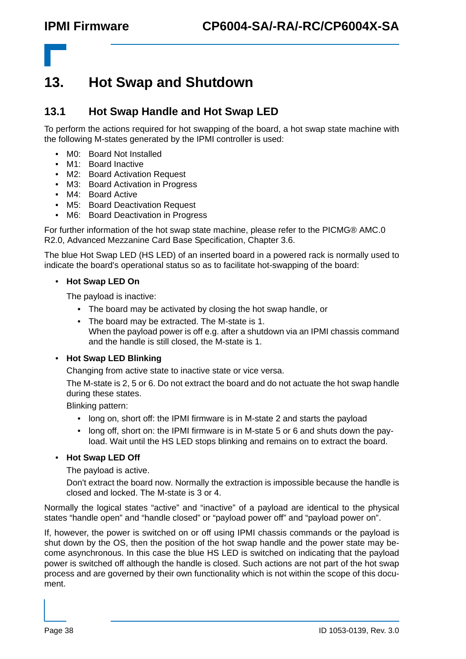

# **13. Hot Swap and Shutdown**

## **13.1 Hot Swap Handle and Hot Swap LED**

To perform the actions required for hot swapping of the board, a hot swap state machine with the following M-states generated by the IPMI controller is used:

- M0: Board Not Installed
- M1: Board Inactive
- M2: Board Activation Request
- M3: Board Activation in Progress
- M4: Board Active
- M5: Board Deactivation Request
- M6: Board Deactivation in Progress

For further information of the hot swap state machine, please refer to the PICMG® AMC.0 R2.0, Advanced Mezzanine Card Base Specification, Chapter 3.6.

The blue Hot Swap LED (HS LED) of an inserted board in a powered rack is normally used to indicate the board's operational status so as to facilitate hot-swapping of the board:

#### • **Hot Swap LED On**

The payload is inactive:

- The board may be activated by closing the hot swap handle, or
- The board may be extracted. The M-state is 1. When the payload power is off e.g. after a shutdown via an IPMI chassis command and the handle is still closed, the M-state is 1.

#### • **Hot Swap LED Blinking**

Changing from active state to inactive state or vice versa.

The M-state is 2, 5 or 6. Do not extract the board and do not actuate the hot swap handle during these states.

Blinking pattern:

- long on, short off: the IPMI firmware is in M-state 2 and starts the payload
- long off, short on: the IPMI firmware is in M-state 5 or 6 and shuts down the payload. Wait until the HS LED stops blinking and remains on to extract the board.

#### • **Hot Swap LED Off**

The payload is active.

Don't extract the board now. Normally the extraction is impossible because the handle is closed and locked. The M-state is 3 or 4.

Normally the logical states "active" and "inactive" of a payload are identical to the physical states "handle open" and "handle closed" or "payload power off" and "payload power on".

If, however, the power is switched on or off using IPMI chassis commands or the payload is shut down by the OS, then the position of the hot swap handle and the power state may become asynchronous. In this case the blue HS LED is switched on indicating that the payload power is switched off although the handle is closed. Such actions are not part of the hot swap process and are governed by their own functionality which is not within the scope of this document.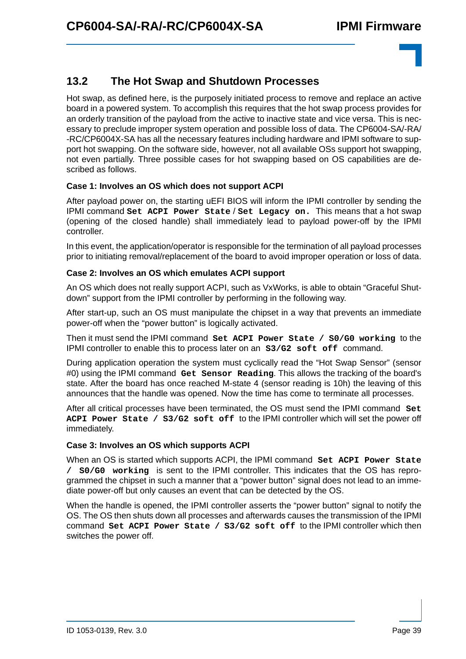## **13.2 The Hot Swap and Shutdown Processes**

Hot swap, as defined here, is the purposely initiated process to remove and replace an active board in a powered system. To accomplish this requires that the hot swap process provides for an orderly transition of the payload from the active to inactive state and vice versa. This is necessary to preclude improper system operation and possible loss of data. The CP6004-SA/-RA/ -RC/CP6004X-SA has all the necessary features including hardware and IPMI software to support hot swapping. On the software side, however, not all available OSs support hot swapping, not even partially. Three possible cases for hot swapping based on OS capabilities are described as follows.

#### **Case 1: Involves an OS which does not support ACPI**

After payload power on, the starting uEFI BIOS will inform the IPMI controller by sending the IPMI command **Set ACPI Power State** / **Set Legacy on.** This means that a hot swap (opening of the closed handle) shall immediately lead to payload power-off by the IPMI controller.

In this event, the application/operator is responsible for the termination of all payload processes prior to initiating removal/replacement of the board to avoid improper operation or loss of data.

#### **Case 2: Involves an OS which emulates ACPI support**

An OS which does not really support ACPI, such as VxWorks, is able to obtain "Graceful Shutdown" support from the IPMI controller by performing in the following way.

After start-up, such an OS must manipulate the chipset in a way that prevents an immediate power-off when the "power button" is logically activated.

Then it must send the IPMI command **Set ACPI Power State / S0/G0 working** to the IPMI controller to enable this to process later on an **S3/G2 soft off** command.

During application operation the system must cyclically read the "Hot Swap Sensor" (sensor #0) using the IPMI command **Get Sensor Reading**. This allows the tracking of the board's state. After the board has once reached M-state 4 (sensor reading is 10h) the leaving of this announces that the handle was opened. Now the time has come to terminate all processes.

After all critical processes have been terminated, the OS must send the IPMI command **Set ACPI Power State / S3/G2 soft off** to the IPMI controller which will set the power off immediately.

#### **Case 3: Involves an OS which supports ACPI**

When an OS is started which supports ACPI, the IPMI command **Set ACPI Power State / S0/G0 working** is sent to the IPMI controller. This indicates that the OS has reprogrammed the chipset in such a manner that a "power button" signal does not lead to an immediate power-off but only causes an event that can be detected by the OS.

When the handle is opened, the IPMI controller asserts the "power button" signal to notify the OS. The OS then shuts down all processes and afterwards causes the transmission of the IPMI command **Set ACPI Power State / S3/G2 soft off** to the IPMI controller which then switches the power off.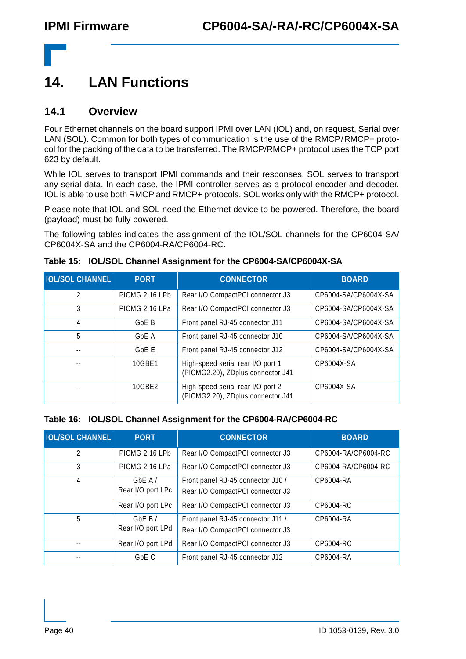# **14. LAN Functions**

## **14.1 Overview**

Four Ethernet channels on the board support IPMI over LAN (IOL) and, on request, Serial over LAN (SOL). Common for both types of communication is the use of the RMCP/RMCP+ protocol for the packing of the data to be transferred. The RMCP/RMCP+ protocol uses the TCP port 623 by default.

While IOL serves to transport IPMI commands and their responses, SOL serves to transport any serial data. In each case, the IPMI controller serves as a protocol encoder and decoder. IOL is able to use both RMCP and RMCP+ protocols. SOL works only with the RMCP+ protocol.

Please note that IOL and SOL need the Ethernet device to be powered. Therefore, the board (payload) must be fully powered.

The following tables indicates the assignment of the IOL/SOL channels for the CP6004-SA/ CP6004X-SA and the CP6004-RA/CP6004-RC.

| <b>IOL/SOL CHANNEL</b> | <b>PORT</b>    | <b>CONNECTOR</b>                                                       | <b>BOARD</b>         |
|------------------------|----------------|------------------------------------------------------------------------|----------------------|
| $\overline{2}$         | PICMG 2.16 LPb | Rear I/O CompactPCI connector J3                                       | CP6004-SA/CP6004X-SA |
| 3                      | PICMG 2.16 LPa | Rear I/O CompactPCI connector J3                                       | CP6004-SA/CP6004X-SA |
| 4                      | GbE B          | Front panel RJ-45 connector J11                                        | CP6004-SA/CP6004X-SA |
| 5                      | GbE A          | Front panel RJ-45 connector J10                                        | CP6004-SA/CP6004X-SA |
|                        | GbE E          | Front panel RJ-45 connector J12                                        | CP6004-SA/CP6004X-SA |
| $- -$                  | 10GBE1         | High-speed serial rear I/O port 1<br>(PICMG2.20), ZDplus connector J41 | CP6004X-SA           |
|                        | 10GBE2         | High-speed serial rear I/O port 2<br>(PICMG2.20), ZDplus connector J41 | CP6004X-SA           |

#### <span id="page-39-0"></span>**Table 15: IOL/SOL Channel Assignment for the CP6004-SA/CP6004X-SA**

<span id="page-39-1"></span>**Table 16: IOL/SOL Channel Assignment for the CP6004-RA/CP6004-RC**

| <b>IOL/SOL CHANNEL</b>           | <b>PORT</b>                 | <b>CONNECTOR</b>                                                      | <b>BOARD</b>        |
|----------------------------------|-----------------------------|-----------------------------------------------------------------------|---------------------|
| 2                                | PICMG 2.16 LPb              | Rear I/O CompactPCI connector J3                                      | CP6004-RA/CP6004-RC |
| 3                                | PICMG 2.16 LPa              | Rear I/O CompactPCI connector J3                                      | CP6004-RA/CP6004-RC |
| GbE A/<br>4<br>Rear I/O port LPc |                             | Front panel RJ-45 connector J10 /<br>Rear I/O CompactPCI connector J3 | CP6004-RA           |
|                                  | Rear I/O port LPc           | Rear I/O CompactPCI connector J3                                      | CP6004-RC           |
| 5                                | GbE B/<br>Rear I/O port LPd | Front panel RJ-45 connector J11 /<br>Rear I/O CompactPCI connector J3 | CP6004-RA           |
|                                  | Rear I/O port LPd           | Rear I/O CompactPCI connector J3                                      | CP6004-RC           |
|                                  | GbE C                       | Front panel RJ-45 connector J12                                       | CP6004-RA           |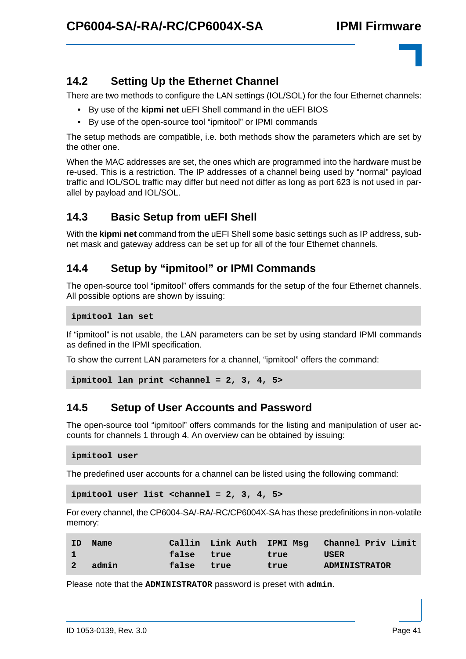

There are two methods to configure the LAN settings (IOL/SOL) for the four Ethernet channels:

- By use of the **kipmi net** uEFI Shell command in the uEFI BIOS
- By use of the open-source tool "ipmitool" or IPMI commands

The setup methods are compatible, i.e. both methods show the parameters which are set by the other one.

When the MAC addresses are set, the ones which are programmed into the hardware must be re-used. This is a restriction. The IP addresses of a channel being used by "normal" payload traffic and IOL/SOL traffic may differ but need not differ as long as port 623 is not used in parallel by payload and IOL/SOL.

### **14.3 Basic Setup from uEFI Shell**

With the **kipmi net** command from the uEFI Shell some basic settings such as IP address, subnet mask and gateway address can be set up for all of the four Ethernet channels.

### **14.4 Setup by "ipmitool" or IPMI Commands**

The open-source tool "ipmitool" offers commands for the setup of the four Ethernet channels. All possible options are shown by issuing:

**ipmitool lan set**

If "ipmitool" is not usable, the LAN parameters can be set by using standard IPMI commands as defined in the IPMI specification.

To show the current LAN parameters for a channel, "ipmitool" offers the command:

```
ipmitool lan print <channel = 2, 3, 4, 5>
```
### **14.5 Setup of User Accounts and Password**

The open-source tool "ipmitool" offers commands for the listing and manipulation of user accounts for channels 1 through 4. An overview can be obtained by issuing:

**ipmitool user**

The predefined user accounts for a channel can be listed using the following command:

**ipmitool user list <channel = 2, 3, 4, 5>**

For every channel, the CP6004-SA/-RA/-RC/CP6004X-SA has these predefinitions in non-volatile memory:

| ID           | Name    |            |      | Callin Link Auth IPMI Msg Channel Priv Limit |
|--------------|---------|------------|------|----------------------------------------------|
| $\mathbf{1}$ |         | false true | true | <b>USER</b>                                  |
|              | 2 admin | false true | true | <b>ADMINISTRATOR</b>                         |

Please note that the **ADMINISTRATOR** password is preset with **admin**.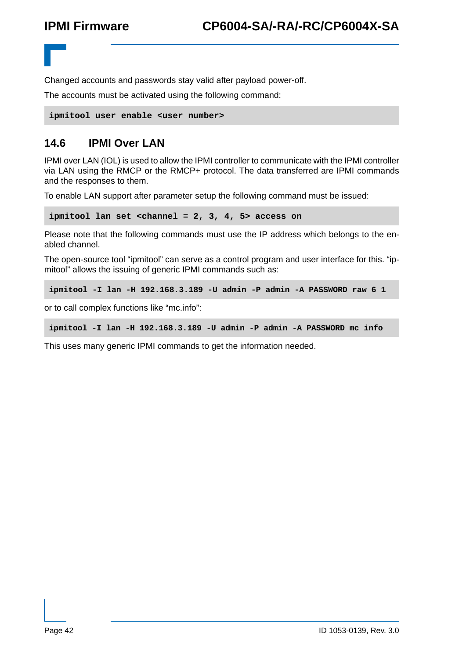Changed accounts and passwords stay valid after payload power-off.

The accounts must be activated using the following command:

```
ipmitool user enable <user number>
```
## **14.6 IPMI Over LAN**

IPMI over LAN (IOL) is used to allow the IPMI controller to communicate with the IPMI controller via LAN using the RMCP or the RMCP+ protocol. The data transferred are IPMI commands and the responses to them.

To enable LAN support after parameter setup the following command must be issued:

**ipmitool lan set <channel = 2, 3, 4, 5> access on**

Please note that the following commands must use the IP address which belongs to the enabled channel.

The open-source tool "ipmitool" can serve as a control program and user interface for this. "ipmitool" allows the issuing of generic IPMI commands such as:

**ipmitool -I lan -H 192.168.3.189 -U admin -P admin -A PASSWORD raw 6 1**

or to call complex functions like "mc.info":

```
ipmitool -I lan -H 192.168.3.189 -U admin -P admin -A PASSWORD mc info
```
This uses many generic IPMI commands to get the information needed.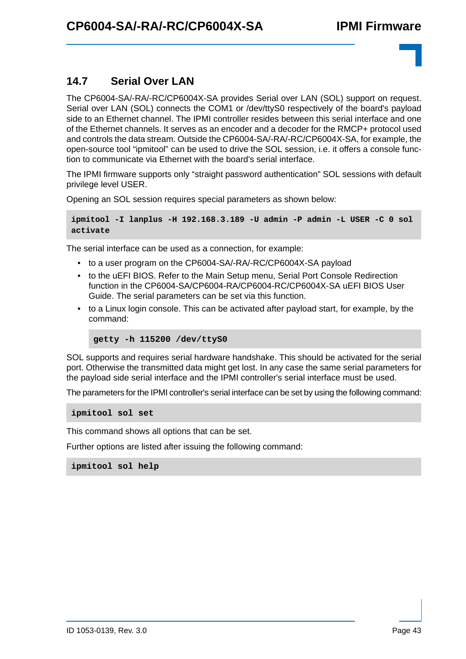# **14.7 Serial Over LAN**

The CP6004-SA/-RA/-RC/CP6004X-SA provides Serial over LAN (SOL) support on request. Serial over LAN (SOL) connects the COM1 or /dev/ttyS0 respectively of the board's payload side to an Ethernet channel. The IPMI controller resides between this serial interface and one of the Ethernet channels. It serves as an encoder and a decoder for the RMCP+ protocol used and controls the data stream. Outside the CP6004-SA/-RA/-RC/CP6004X-SA, for example, the open-source tool "ipmitool" can be used to drive the SOL session, i.e. it offers a console function to communicate via Ethernet with the board's serial interface.

The IPMI firmware supports only "straight password authentication" SOL sessions with default privilege level USER.

Opening an SOL session requires special parameters as shown below:

```
ipmitool -I lanplus -H 192.168.3.189 -U admin -P admin -L USER -C 0 sol 
activate
```
The serial interface can be used as a connection, for example:

- to a user program on the CP6004-SA/-RA/-RC/CP6004X-SA payload
- to the uEFI BIOS. Refer to the Main Setup menu, Serial Port Console Redirection function in the CP6004-SA/CP6004-RA/CP6004-RC/CP6004X-SA uEFI BIOS User Guide. The serial parameters can be set via this function.
- to a Linux login console. This can be activated after payload start, for example, by the command:

```
getty -h 115200 /dev/ttyS0
```
SOL supports and requires serial hardware handshake. This should be activated for the serial port. Otherwise the transmitted data might get lost. In any case the same serial parameters for the payload side serial interface and the IPMI controller's serial interface must be used.

The parameters for the IPMI controller's serial interface can be set by using the following command:

**ipmitool sol set**

This command shows all options that can be set.

Further options are listed after issuing the following command:

**ipmitool sol help**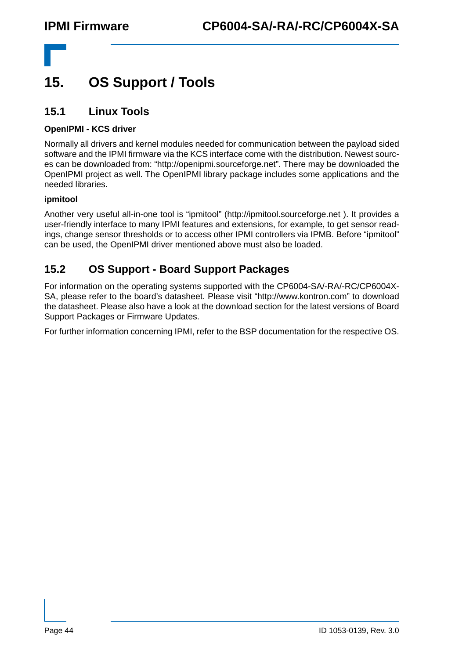# **15. OS Support / Tools**

## **15.1 Linux Tools**

#### **OpenIPMI - KCS driver**

Normally all drivers and kernel modules needed for communication between the payload sided software and the IPMI firmware via the KCS interface come with the distribution. Newest sources can be downloaded from: "http://openipmi.sourceforge.net". There may be downloaded the OpenIPMI project as well. The OpenIPMI library package includes some applications and the needed libraries.

#### **ipmitool**

Another very useful all-in-one tool is "ipmitool" (http://ipmitool.sourceforge.net ). It provides a user-friendly interface to many IPMI features and extensions, for example, to get sensor readings, change sensor thresholds or to access other IPMI controllers via IPMB. Before "ipmitool" can be used, the OpenIPMI driver mentioned above must also be loaded.

## **15.2 OS Support - Board Support Packages**

For information on the operating systems supported with the CP6004-SA/-RA/-RC/CP6004X-SA, please refer to the board's datasheet. Please visit "http://www.kontron.com" to download the datasheet. Please also have a look at the download section for the latest versions of Board Support Packages or Firmware Updates.

For further information concerning IPMI, refer to the BSP documentation for the respective OS.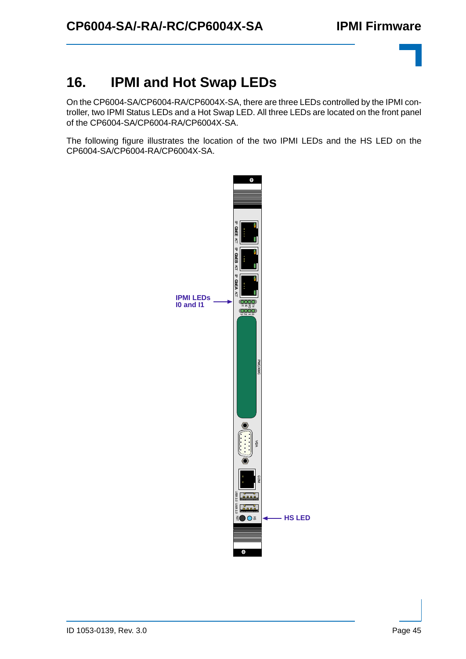# **16. IPMI and Hot Swap LEDs**

On the CP6004-SA/CP6004-RA/CP6004X-SA, there are three LEDs controlled by the IPMI controller, two IPMI Status LEDs and a Hot Swap LED. All three LEDs are located on the front panel of the CP6004-SA/CP6004-RA/CP6004X-SA.

The following figure illustrates the location of the two IPMI LEDs and the HS LED on the CP6004-SA/CP6004-RA/CP6004X-SA.